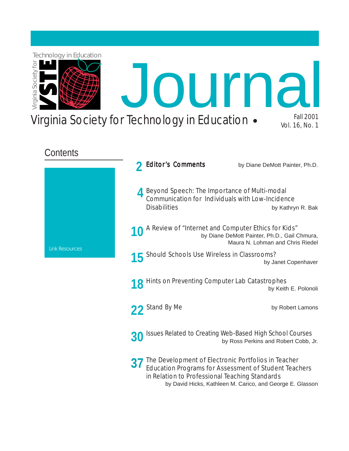

**37** The Development of Electronic Portfolios in Teacher<br> **37** Education Programs for Assessment of Student Teach [Education Programs for Assessment of Student Teachers](#page-36-0)  in Relation to Professional Teaching Standards by David Hicks, Kathleen M. Carico, and George E. Glasson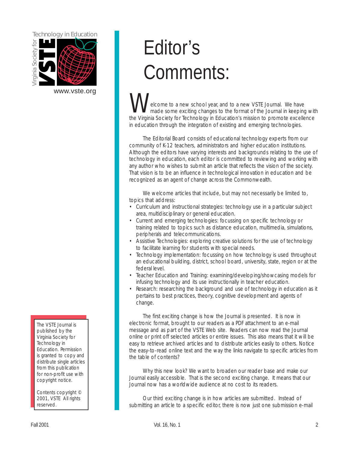<span id="page-1-0"></span>

[www.vste.org](http://www.vste.org) 

The VSTE Journal is published by the Virginia Society for Technology in Education. Permission is granted to copy and distribute single articles from this publication for non-profit use with copyright notice.

Contents copyright © 2001, VSTE All rights reserved.

# Editor's Comments:

elcome to a new school year, and to a new VSTE Journal. We have made some exciting changes to the format of the Journal in keeping with the Virginia Society for Technology in Education's mission to promote excellence in education through the integration of existing and emerging technologies.

The Editorial Board consists of educational technology experts from our community of K-12 teachers, administrators and higher education institutions. Although the editors have varying interests and backgrounds relating to the use of technology in education, each editor is committed to reviewing and working with any author who wishes to submit an article that reflects the vision of the society. That vision is to be an influence in technological innovation in education and be recognized as an agent of change across the Commonwealth.

We welcome articles that include, but may not necessarily be limited to, topics that address:

- Curriculum and instructional strategies: technology use in a particular subject area, multidisciplinary or general education.
- Current and emerging technologies: focussing on specific technology or training related to topics such as distance education, multimedia, simulations, peripherals and telecommunications.
- Assistive Technologies: exploring creative solutions for the use of technology to facilitate learning for students with special needs.
- Technology implementation: focussing on how technology is used throughout an educational building, district, school board, university, state, region or at the federal level.
- Teacher Education and Training: examining/developing/showcasing models for infusing technology and its use instructionally in teacher education.
- Research: researching the background and use of technology in education as it pertains to best practices, theory, cognitive development and agents of change.

The first exciting change is how the Journal is presented. It is now in electronic format, brought to our readers as a PDF attachment to an e-mail message and as part of the VSTE Web site. Readers can now read the Journal online or print off selected articles or entire issues. This also means that it will be easy to retrieve archived articles and to distribute articles easily to others. Notice the easy-to-read online text and the way the links navigate to specific articles from the table of contents?

Why this new look? We want to broaden our reader base and make our Journal easily accessible. That is the second exciting change. It means that our Journal now has a worldwide audience at no cost to its readers.

Our third exciting change is in how articles are submitted. Instead of submitting an article to a specific editor, there is now just one submission e-mail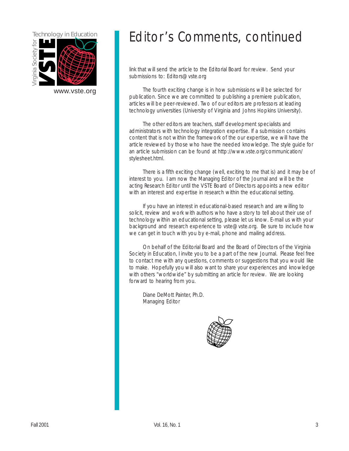

## Technology in Education Editor's Comments, continued

link that will send the article to the Editorial Board for review. Send your submissions to: Editors@vste.org

[www.vste.org](http://www.vste.org) The fourth exciting change is in how submissions will be selected for publication. Since we are committed to publishing a premiere publication, articles will be peer-reviewed. Two of our editors are professors at leading technology universities (University of Virginia and Johns Hopkins University).

> The other editors are teachers, staff development specialists and administrators with technology integration expertise. If a submission contains content that is not within the framework of the our expertise, we will have the article reviewed by those who have the needed knowledge. The style guide for [an article submission can be found at http://www.vste.org/communication/](http://www.vste.org/communication/stylesheet.html)  stylesheet.html.

There is a fifth exciting change (well, exciting to me that is) and it may be of interest to you. I am now the Managing Editor of the Journal and will be the acting Research Editor until the VSTE Board of Directors appoints a new editor with an interest and expertise in research within the educational setting.

If you have an interest in educational-based research and are willing to solicit, review and work with authors who have a story to tell about their use of technology within an educational setting, please let us know. E-mail us with your background and research experience to vste@vste.org. Be sure to include how we can get in touch with you by e-mail, phone and mailing address.

On behalf of the Editorial Board and the Board of Directors of the Virginia Society in Education, I invite you to be a part of the new Journal. Please feel free to contact me with any questions, comments or suggestions that you would like to make. Hopefully you will also want to share your experiences and knowledge with others "worldwide" by submitting an article for review. We are looking forward to hearing from you.

Diane DeMott Painter, Ph.D. Managing Editor

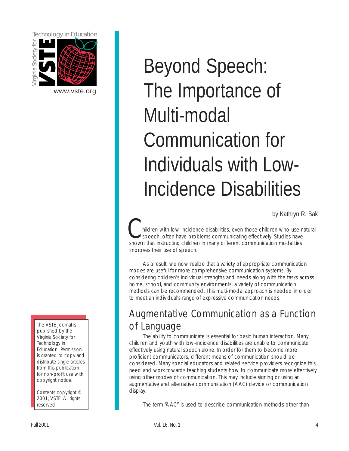<span id="page-3-0"></span>

[www.vste.org](http://www.vste.org) 

The VSTE Journal is published by the Virginia Society for Technology in Education. Permission is granted to copy and distribute single articles from this publication for non-profit use with copyright notice.

Contents copyright © 2001, VSTE All rights reserved.

# Beyond Speech: The Importance of Multi-modal Communication for Individuals with Low-Incidence Disabilities

by Kathryn R. Bak

hildren with low-incidence disabilities, even those children who use natural speech, often have problems communicating effectively. Studies have shown that instructing children in many different communication modalities improves their use of speech.

As a result, we now realize that a variety of appropriate communication modes are useful for more comprehensive communication systems. By considering children's individual strengths and needs along with the tasks across home, school, and community environments, a variety of communication methods can be recommended. This multi-modal approach is needed in order to meet an individual's range of expressive communication needs.

## Augmentative Communication as a Function of Language

The ability to communicate is essential for basic human interaction. Many children and youth with low-incidence disabilities are unable to communicate effectively using natural speech alone. In order for them to become more proficient communicators, different means of communication should be considered. Many special educators and related service providers recognize this need and work towards teaching students how to communicate more effectively using other modes of communication. This may include signing or using an augmentative and alternative communication (AAC) device or communication display.

The term "AAC" is used to describe communication methods other than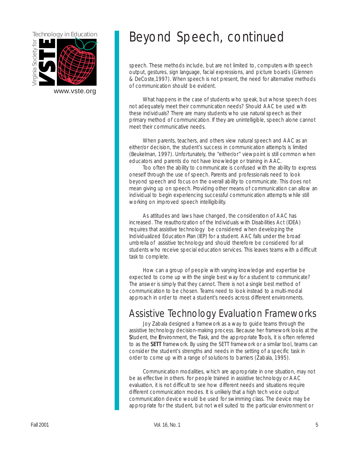

## Technology in Education **Beyond Speech**, continued

speech. These methods include, but are not limited to, computers with speech output, gestures, sign language, facial expressions, and picture boards (Glennen & DeCoste,1997). When speech is not present, the need for alternative methods of communication should be evident.

What happens in the case of students who speak, but whose speech does not adequately meet their communication needs? Should AAC be used with these individuals? There are many students who use natural speech as their primary method of communication. If they are unintelligible, speech alone cannot meet their communicative needs.

When parents, teachers, and others view natural speech and AAC as an either/or decision, the student's success in communication attempts is limited (Beukelman, 1997). Unfortunately, the "either/or" viewpoint is still common when educators and parents do not have knowledge or training in AAC.

Too often the ability to communicate is confused with the ability to express oneself through the use of speech. Parents and professionals need to look beyond speech and focus on the overall ability to communicate. This does not mean giving up on speech. Providing other means of communication can allow an individual to begin experiencing successful communication attempts while still working on improved speech intelligibility.

As attitudes and laws have changed, the consideration of AAC has increased. The reauthorization of the Individuals with Disabilities Act (IDEA) requires that assistive technology be considered when developing the Individualized Education Plan (IEP) for a student. AAC falls under the broad umbrella of assistive technology and should therefore be considered for all students who receive special education services. This leaves teams with a difficult task to complete.

How can a group of people with varying knowledge and expertise be expected to come up with the single best way for a student to communicate? The answer is simply that they cannot. There is not a single best method of communication to be chosen. Teams need to look instead to a multi-modal approach in order to meet a student's needs across different environments.

### Assistive Technology Evaluation Frameworks

Student, the Environment, the Task, and the appropriate Tools, it is often referred to as the **SETT** framework. By using the SETT framework or a similar tool, teams can Joy Zabala designed a framework as a way to guide teams through the assistive technology decision-making process. Because her framework looks at the consider the student's strengths and needs in the setting of a specific task in order to come up with a range of solutions to barriers (Zabala, 1995).

Communication modalities, which are appropriate in one situation, may not be as effective in others. For people trained in assistive technology or AAC evaluation, it is not difficult to see how different needs and situations require different communication modes. It is unlikely that a high tech voice output communication device would be used for swimming class. The device may be appropriate for the student, but not well suited to the particular environment or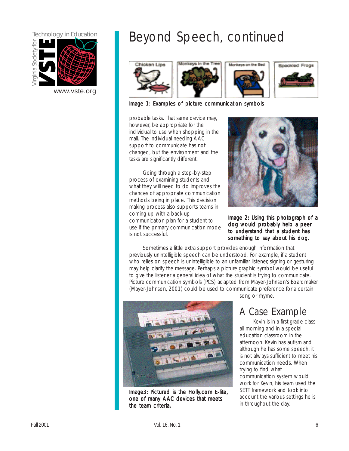

[www.vste.org](http://www.vste.org) 

## Technology in Education **Beyond Speech**, continued









Image 1: Examples of picture communication symbols Image 1: Examples of picture communication symbols

probable tasks. That same device may, however, be appropriate for the individual to use when shopping in the mall. The individual needing AAC support to communicate has not changed, but the environment and the tasks are significantly different.

to understand that a student has<br>is not successful. Going through a step-by-step process of examining students and what they will need to do improves the chances of appropriate communication methods being in place. This decision making process also supports teams in coming up with a back-up communication plan for a student to use if the primary communication mode



Image 2: Using this photograph of a dog would probably help a peer something to say about his dog.

Sometimes a little extra support provides enough information that previously unintelligible speech can be understood. For example, if a student who relies on speech is unintelligible to an unfamiliar listener, signing or gesturing may help clarify the message. Perhaps a picture graphic symbol would be useful to give the listener a general idea of what the student is trying to communicate. Picture communication symbols (PCS) adapted from Mayer-Johnson's Boardmaker (Mayer-Johnson, 2001) could be used to communicate preference for a certain



Image3: Pictured is the Holly.com E-lite, SETT framework and took into one of many AAC devices that meets account the various settings he is the team criteria.

song or rhyme.

## A Case Example

Kevin is in a first grade class all morning and in a special education classroom in the afternoon. Kevin has autism and although he has some speech, it is not always sufficient to meet his communication needs. When trying to find what communication system would work for Kevin, his team used the in throughout the day.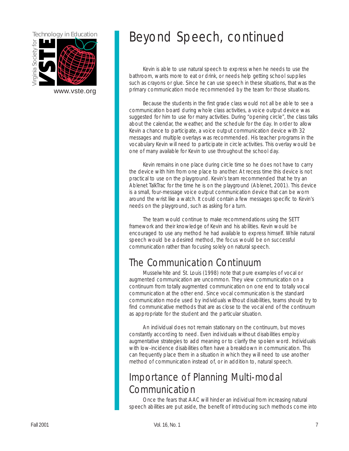

## Technology in Education **Beyond Speech**, continued

Kevin is able to use natural speech to express when he needs to use the bathroom, wants more to eat or drink, or needs help getting school supplies such as crayons or glue. Since he can use speech in these situations, that was the [www.vste.org](http://www.vste.org) primary communication mode recommended by the team for those situations.

> Because the students in the first grade class would not all be able to see a communication board during whole class activities, a voice output device was suggested for him to use for many activities. During "opening circle", the class talks about the calendar, the weather, and the schedule for the day. In order to allow Kevin a chance to participate, a voice output communication device with 32 messages and multiple overlays was recommended. His teacher programs in the vocabulary Kevin will need to participate in circle activities. This overlay would be one of many available for Kevin to use throughout the school day.

> Kevin remains in one place during circle time so he does not have to carry the device with him from one place to another. At recess time this device is not practical to use on the playground. Kevin's team recommended that he try an Ablenet TalkTrac for the time he is on the playground (Ablenet, 2001). This device is a small, four-message voice output communication device that can be worn around the wrist like a watch. It could contain a few messages specific to Kevin's needs on the playground, such as asking for a turn.

> The team would continue to make recommendations using the SETT framework and their knowledge of Kevin and his abilities. Kevin would be encouraged to use any method he had available to express himself. While natural speech would be a desired method, the focus would be on successful communication rather than focusing solely on natural speech.

## The Communication Continuum

Musselwhite and St. Louis (1998) note that pure examples of vocal or augmented communication are uncommon. They view communication on a continuum from totally augmented communication on one end to totally vocal communication at the other end. Since vocal communication is the standard communication mode used by individuals without disabilities, teams should try to find communicative methods that are as close to the vocal end of the continuum as appropriate for the student and the particular situation.

An individual does not remain stationary on the continuum, but moves constantly according to need. Even individuals without disabilities employ augmentative strategies to add meaning or to clarify the spoken word. Individuals with low-incidence disabilities often have a breakdown in communication. This can frequently place them in a situation in which they will need to use another method of communication instead of, or in addition to, natural speech.

## Importance of Planning Multi-modal Communication

Once the fears that AAC will hinder an individual from increasing natural speech abilities are put aside, the benefit of introducing such methods come into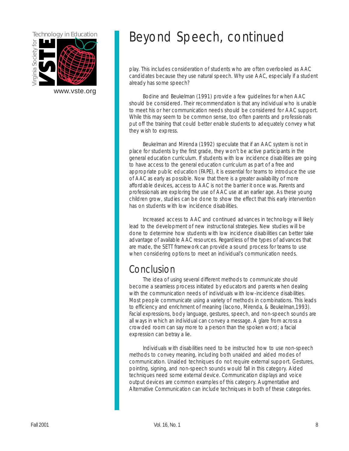

## Technology in Education **Beyond Speech**, continued

play. This includes consideration of students who are often overlooked as AAC candidates because they use natural speech. Why use AAC, especially if a student already has some speech?

Bodine and Beukelman (1991) provide a few guidelines for when AAC should be considered. Their recommendation is that any individual who is unable to meet his or her communication needs should be considered for AAC support. While this may seem to be common sense, too often parents and professionals put off the training that could better enable students to adequately convey what they wish to express.

Beukelman and Mirenda (1992) speculate that if an AAC system is not in place for students by the first grade, they won't be active participants in the general education curriculum. If students with low incidence disabilities are going to have access to the general education curriculum as part of a free and appropriate public education (FAPE), it is essential for teams to introduce the use of AAC as early as possible. Now that there is a greater availability of more affordable devices, access to AAC is not the barrier it once was. Parents and professionals are exploring the use of AAC use at an earlier age. As these young children grow, studies can be done to show the effect that this early intervention has on students with low incidence disabilities.

Increased access to AAC and continued advances in technology will likely lead to the development of new instructional strategies. New studies will be done to determine how students with low incidence disabilities can better take advantage of available AAC resources. Regardless of the types of advances that are made, the SETT framework can provide a sound process for teams to use when considering options to meet an individual's communication needs.

### Conclusion

The idea of using several different methods to communicate should become a seamless process initiated by educators and parents when dealing with the communication needs of individuals with low-incidence disabilities. Most people communicate using a variety of methods in combinations. This leads to efficiency and enrichment of meaning (Iacono, Mirenda, & Beukelman,1993). Facial expressions, body language, gestures, speech, and non-speech sounds are all ways in which an individual can convey a message. A glare from across a crowded room can say more to a person than the spoken word; a facial expression can betray a lie.

Individuals with disabilities need to be instructed how to use non-speech methods to convey meaning, including both unaided and aided modes of communication. Unaided techniques do not require external support. Gestures, pointing, signing, and non-speech sounds would fall in this category. Aided techniques need some external device. Communication displays and voice output devices are common examples of this category. Augmentative and Alternative Communication can include techniques in both of these categories.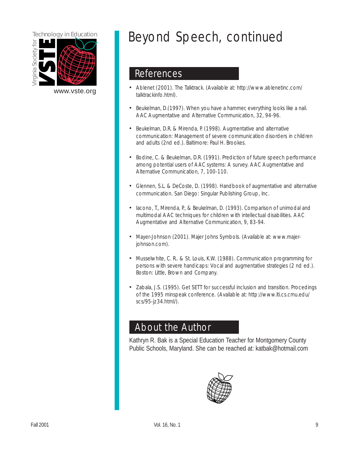

## Technology in Education **Beyond Speech**, continued

### References

- Ablenet (2001). The Talktrack. (Available at: http://www.ablenetinc.com/ talktrackinfo.html).
- Beukelman, D. (1997). When you have a hammer, everything looks like a nail. AAC Augmentative and Alternative Communication, 32, 94-96.
- Beukelman, D.R. & Mirenda, P. (1998). Augmentative and alternative communication: Management of severe communication disorders in children and adults (2nd ed.). Baltimore: Paul H. Brookes.
- Bodine, C. & Beukelman, D.R. (1991). Prediction of future speech performance among potential users of AAC systems: A survey. AAC Augmentative and Alternative Communication, 7, 100-110.
- Glennen, S.L. & DeCoste, D. (1998). Handbook of augmentative and alternative communication. San Diego: Singular Publishing Group, Inc.
- Iacono, T., Mirenda, P., & Beukelman, D. (1993). Comparison of unimodal and multimodal AAC techniques for children with intellectual disabilities. AAC Augmentative and Alternative Communication, 9, 83-94.
- Mayer-Johnson (2001). Majer Johns Symbols. (Available at: www.majerjohnson.com).
- Musselwhite, C. R.. & St. Louis, K.W. (1988). Communication programming for persons with severe handicaps: Vocal and augmentative strategies (2 nd ed.). Boston: Little, Brown and Company.
- Zabala, J.S. (1995). Get SETT for successful inclusion and transition. Procedings of the 1995 minspeak conference. (Available at: http://www.lti.cs.cmu.edu/ scs/95-jz34.html/).

### About the Author

Kathryn R. Bak is a Special Education Teacher for Montgomery County Public Schools, Maryland. She can be reached at: katbak@hotmail.com

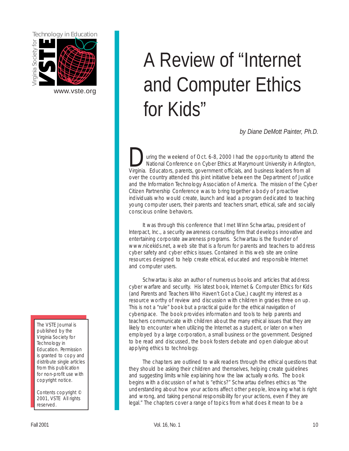<span id="page-9-0"></span>

#### The VSTE Journal is published by the Virginia Society for Technology in Education. Permission is granted to copy and distribute single articles from this publication for non-profit use with copyright notice.

Contents copyright © 2001, VSTE All rights reserved.

# A Review of "Internet [www.vste.org](http://www.vste.org) and Computer Ethics for Kids"

*by Diane DeMott Painter, Ph.D.* 

uring the weekend of Oct. 6-8, 2000 I had the opportunity to attend the National Conference on Cyber Ethics at Marymount University in Arlington, Virginia. Educators, parents, government officials, and business leaders from all over the country attended this joint initiative between the Department of Justice and the Information Technology Association of America. The mission of the Cyber Citizen Partnership Conference was to bring together a body of proactive individuals who would create, launch and lead a program dedicated to teaching young computer users, their parents and teachers smart, ethical, safe and socially conscious online behaviors.

It was through this conference that I met Winn Schwartau, president of Interpact, Inc., a security awareness consulting firm that develops innovative and entertaining corporate awareness programs. Schwartau is the founder of www.nicekids.net, a web site that is a forum for parents and teachers to address cyber safety and cyber ethics issues. Contained in this web site are online resources designed to help create ethical, educated and responsible Internet and computer users.

Schwartau is also an author of numerous books and articles that address cyber warfare and security. His latest book, Internet & Computer Ethics for Kids (and Parents and Teachers Who Haven't Got a Clue,) caught my interest as a resource worthy of review and discussion with children in grades three on up. This is not a "rule" book but a practical guide for the ethical navigation of cyberspace. The book provides information and tools to help parents and teachers communicate with children about the many ethical issues that they are likely to encounter when utilizing the Internet as a student, or later on when employed by a large corporation, a small business or the government. Designed to be read and discussed, the book fosters debate and open dialogue about applying ethics to technology.

The chapters are outlined to walk readers through the ethical questions that they should be asking their children and themselves, helping create guidelines and suggesting limits while explaining how the law actually works. The book begins with a discussion of what is "ethics?" Schwartau defines ethics as "the understanding about how your actions affect other people, knowing what is right and wrong, and taking personal responsibility for your actions, even if they are legal." The chapters cover a range of topics from what does it mean to be a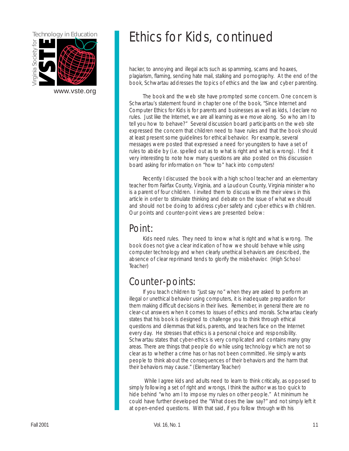

## Technology in Education **Ethics for Kids, continued**

hacker, to annoying and illegal acts such as spamming, scams and hoaxes, plagiarism, flaming, sending hate mail, stalking and pornography. At the end of the book, Schwartau addresses the topics of ethics and the law and cyber parenting.

[www.vste.org](http://www.vste.org) The book and the web site have prompted some concern. One concern is Schwartau's statement found in chapter one of the book, "Since Internet and Computer Ethics for Kids is for parents and businesses as well as kids, I declare no rules. Just like the Internet, we are all learning as we move along. So who am I to tell you how to behave?" Several discussion board participants on the web site expressed the concern that children need to have rules and that the book should at least present some guidelines for ethical behavior. For example, several messages were posted that expressed a need for youngsters to have a set of rules to abide by (i.e. spelled out as to what is right and what is wrong). I find it very interesting to note how many questions are also posted on this discussion board asking for information on "how to" hack into computers!

> Recently I discussed the book with a high school teacher and an elementary teacher from Fairfax County, Virginia, and a Loudoun County, Virginia minister who is a parent of four children. I invited them to discuss with me their views in this article in order to stimulate thinking and debate on the issue of what we should and should not be doing to address cyber safety and cyber ethics with children. Our points and counter-point views are presented below:

### Point:

Kids need rules. They need to know what is right and what is wrong. The book does not give a clear indication of how we should behave while using computer technology and when clearly unethical behaviors are described, the absence of clear reprimand tends to glorify the misbehavior. (High School Teacher)

## Counter-points:

If you teach children to "just say no" when they are asked to perform an illegal or unethical behavior using computers, it is inadequate preparation for them making difficult decisions in their lives. Remember, in general there are no clear-cut answers when it comes to issues of ethics and morals. Schwartau clearly states that his book is designed to challenge you to think through ethical questions and dilemmas that kids, parents, and teachers face on the Internet every day. He stresses that ethics is a personal choice and responsibility. Schwartau states that cyber-ethics is very complicated and contains many gray areas. There are things that people do while using technology which are not so clear as to whether a crime has or has not been committed. He simply wants people to think about the consequences of their behaviors and the harm that their behaviors may cause." (Elementary Teacher)

While I agree kids and adults need to learn to think critically, as opposed to simply following a set of right and wrongs, I think the author was too quick to hide behind "who am I to impose my rules on other people." At minimum he could have further developed the "What does the law say?" and not simply left it at open-ended questions. With that said, if you follow through with his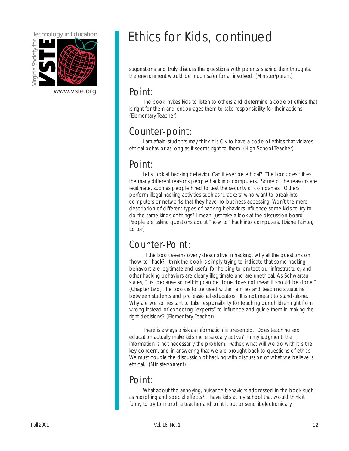

[www.vste.org](http://www.vste.org) Point

## Technology in Education **Ethics for Kids, continued**

suggestions and truly discuss the questions with parents sharing their thoughts, the environment would be much safer for all involved. (Minister/parent)

The book invites kids to listen to others and determine a code of ethics that is right for them and encourages them to take responsibility for their actions. (Elementary Teacher)

## Counter-point:

I am afraid students may think it is OK to have a code of ethics that violates ethical behavior as long as it seems right to them! (High School Teacher)

### Point:

Let's look at hacking behavior. Can it ever be ethical? The book describes the many different reasons people hack into computers. Some of the reasons are legitimate, such as people hired to test the security of companies. Others perform illegal hacking activities such as 'crackers' who want to break into computers or networks that they have no business accessing. Won't the mere description of different types of hacking behaviors influence some kids to try to do the same kinds of things? I mean, just take a look at the discussion board. People are asking questions about "how to" hack into computers. (Diane Painter, Editor)

## Counter-Point:

If the book seems overly descriptive in hacking, why all the questions on "how to" hack? I think the book is simply trying to indicate that some hacking behaviors are legitimate and useful for helping to protect our infrastructure, and other hacking behaviors are clearly illegitimate and are unethical. As Schwartau states, "Just because something can be done does not mean it should be done." (Chapter two) The book is to be used within families and teaching situations between students and professional educators. It is not meant to stand-alone. Why are we so hesitant to take responsibility for teaching our children right from wrong instead of expecting "experts" to influence and guide them in making the right decisions? (Elementary Teacher)

There is always a risk as information is presented. Does teaching sex education actually make kids more sexually active? In my judgment, the information is not necessarily the problem. Rather, what will we do with it is the key concern, and in answering that we are brought back to questions of ethics. We must couple the discussion of hacking with discussion of what we believe is ethical. (Minister/parent)

## Point:

What about the annoying, nuisance behaviors addressed in the book such as morphing and special effects? I have kids at my school that would think it funny to try to morph a teacher and print it out or send it electronically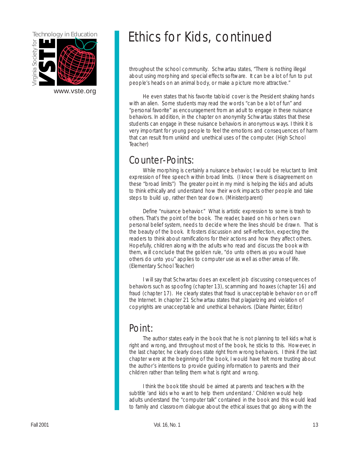

## Technology in Education **Ethics for Kids, continued**

throughout the school community. Schwartau states, "There is nothing illegal about using morphing and special effects software. It can be a lot of fun to put people's heads on an animal body, or make a picture more attractive."

[www.vste.org](http://www.vste.org) He even states that his favorite tabloid cover is the President shaking hands with an alien. Some students may read the words "can be a lot of fun" and "personal favorite" as encouragement from an adult to engage in these nuisance behaviors. In addition, in the chapter on anonymity Schwartau states that these students can engage in these nuisance behaviors in anonymous ways. I think it is very important for young people to feel the emotions and consequences of harm that can result from unkind and unethical uses of the computer. (High School Teacher)

## Counter-Points:

While morphing is certainly a nuisance behavior, I would be reluctant to limit expression of free speech within broad limits. (I know there is disagreement on these "broad limits") The greater point in my mind is helping the kids and adults to think ethically and understand how their work impacts other people and take steps to build up, rather then tear down. (Minister/parent)

Define "nuisance behavior." What is artistic expression to some is trash to others. That's the point of the book. The reader, based on his or hers own personal belief system, needs to decide where the lines should be drawn. That is the beauty of the book. It fosters discussion and self-reflection, expecting the readers to think about ramifications for their actions and how they affect others. Hopefully, children along with the adults who read and discuss the book with them, will conclude that the golden rule, "do unto others as you would have others do unto you" applies to computer use as well as other areas of life. (Elementary School Teacher)

I will say that Schwartau does an excellent job discussing consequences of behaviors such as spoofing (chapter 13), scamming and hoaxes (chapter 16) and fraud (chapter 17). He clearly states that fraud is unacceptable behavior on or off the Internet. In chapter 21 Schwartau states that plagiarizing and violation of copyrights are unacceptable and unethical behaviors. (Diane Painter, Editor)

### Point:

The author states early in the book that he is not planning to tell kids what is right and wrong, and throughout most of the book, he sticks to this. However, in the last chapter, he clearly does state right from wrong behaviors. I think if the last chapter were at the beginning of the book, I would have felt more trusting about the author's intentions to provide guiding information to parents and their children rather than telling them what is right and wrong.

I think the book title should be aimed at parents and teachers with the subtitle 'and kids who want to help them understand.' Children would help adults understand the "computer talk" contained in the book and this would lead to family and classroom dialogue about the ethical issues that go along with the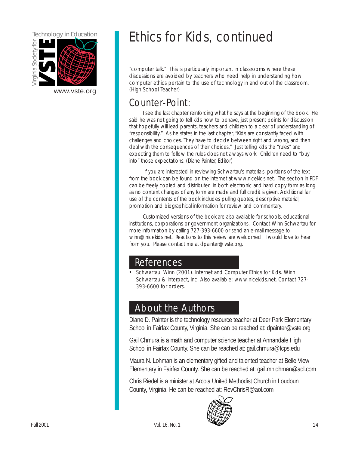

## Technology in Education **Example:** Ethics for Kids, continued

"computer talk." This is particularly important in classrooms where these discussions are avoided by teachers who need help in understanding how computer ethics pertain to the use of technology in and out of the classroom. (High School Teacher)

## Counter-Point:

I see the last chapter reinforcing what he says at the beginning of the book. He said he was not going to tell kids how to behave, just present points for discussion that hopefully will lead parents, teachers and children to a clear of understanding of "responsibility." As he states in the last chapter, "Kids are constantly faced with challenges and choices. They have to decide between right and wrong, and then deal with the consequences of their choices." Just telling kids the "rules" and expecting them to follow the rules does not always work. Children need to "buy into" those expectations. (Diane Painter, Editor)

If you are interested in reviewing Schwartau's materials, portions of the text from the book can be found on the Internet at www.nicekids.net. The section in PDF can be freely copied and distributed in both electronic and hard copy form as long as no content changes of any form are made and full credit is given. Additional fair use of the contents of the book includes pulling quotes, descriptive material, promotion and biographical information for review and commentary.

Customized versions of the book are also available for schools, educational institutions, corporations or government organizations. Contact Winn Schwartau for more information by calling 727-393-6600 or send an e-mail message to winn@nicekids.net. Reactions to this review are welcomed. I would love to hear from you. Please contact me at dpainter@vste.org.

### **References**

Schwartau, Winn (2001). Internet and Computer Ethics for Kids. Winn Schwartau & Interpact, Inc. Also available: www.nicekids.net. Contact 727- 393-6600 for orders.

### About the Authors

Diane D. Painter is the technology resource teacher at Deer Park Elementary School in Fairfax County, Virginia. She can be reached at: dpainter@vste.org

Gail Chmura is a math and computer science teacher at Annandale High School in Fairfax County. She can be reached at: gail.chmura@fcps.edu

Maura N. Lohman is an elementary gifted and talented teacher at Belle View Elementary in Fairfax County. She can be reached at: gail.mnlohman@aol.com

Chris Riedel is a minister at Arcola United Methodist Church in Loudoun County, Virginia. He can be reached at: RevChrisR@aol.com

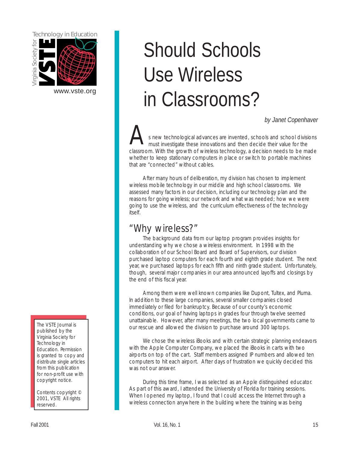<span id="page-14-0"></span>

[www.vste.org](http://www.vste.org) 

#### The VSTE Journal is published by the Virginia Society for Technology in Education. Permission is granted to copy and distribute single articles from this publication for non-profit use with copyright notice.

Contents copyright © 2001, VSTE All rights reserved.

# Should Schools Use Wireless in Classrooms?

*by Janet Copenhaver* 

s new technological advances are invented, schools and school divisions must investigate these innovations and then decide their value for the classroom. With the growth of wireless technology, a decision needs to be made whether to keep stationary computers in place or switch to portable machines that are "connected" without cables.

After many hours of deliberation, my division has chosen to implement wireless mobile technology in our middle and high school classrooms. We assessed many factors in our decision, including our technology plan and the reasons for going wireless; our network and what was needed; how we were going to use the wireless, and the curriculum effectiveness of the technology itself.

## "Why wireless?"

The background data from our laptop program provides insights for understanding why we chose a wireless environment. In 1998 with the collaboration of our School Board and Board of Supervisors, our division purchased laptop computers for each fourth and eighth grade student. The next year, we purchased laptops for each fifth and ninth grade student. Unfortunately, though, several major companies in our area announced layoffs and closings by the end of this fiscal year.

Among them were well known companies like Dupont, Tultex, and Pluma. In addition to these large companies, several smaller companies closed immediately or filed for bankruptcy. Because of our county's economic conditions, our goal of having laptops in grades four through twelve seemed unattainable. However, after many meetings, the two local governments came to our rescue and allowed the division to purchase around 300 laptops.

We chose the wireless iBooks and with certain strategic planning endeavors with the Apple Computer Company, we placed the iBooks in carts with two airports on top of the cart. Staff members assigned IP numbers and allowed ten computers to hit each airport. After days of frustration we quickly decided this was not our answer.

During this time frame, I was selected as an Apple distinguished educator. As part of this award, I attended the University of Florida for training sessions. When I opened my laptop, I found that I could access the Internet through a wireless connection anywhere in the building where the training was being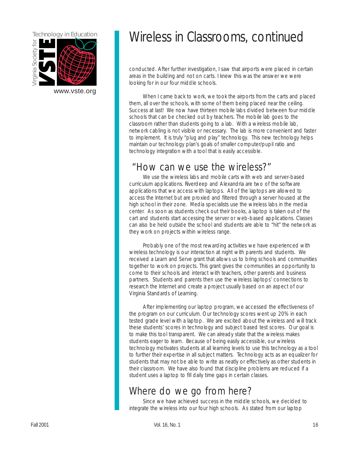

## Technology in Education Wireless in Classrooms, continued

conducted. After further investigation, I saw that airports were placed in certain areas in the building and not on carts. I knew this was the answer we were looking for in our four middle schools.

[www.vste.org](http://www.vste.org) When I came back to work, we took the airports from the carts and placed them, all over the schools, with some of them being placed near the ceiling. Success at last! We now have thirteen mobile labs divided between four middle schools that can be checked out by teachers. The mobile lab goes to the classroom rather than students going to a lab. With a wireless mobile lab, network cabling is not visible or necessary. The lab is more convenient and faster to implement. It is truly "plug and play" technology. This new technology helps maintain our technology plan's goals of smaller computer/pupil ratio and technology integration with a tool that is easily accessible.

### "How can we use the wireless?"

We use the wireless labs and mobile carts with web and server-based curriculum applications. Riverdeep and Alexandria are two of the software applications that we access with laptops. All of the laptops are allowed to access the Internet but are proxied and filtered through a server housed at the high school in their zone. Media specialists use the wireless labs in the media center. As soon as students check out their books, a laptop is taken out of the cart and students start accessing the server or web-based applications. Classes can also be held outside the school and students are able to "hit" the network as they work on projects within wireless range.

Probably one of the most rewarding activities we have experienced with wireless technology is our interaction at night with parents and students. We received a Learn and Serve grant that allows us to bring schools and communities together to work on projects. This grant gives the communities an opportunity to come to their schools and interact with teachers, other parents and business partners. Students and parents then use the wireless laptops' connections to research the Internet and create a project usually based on an aspect of our Virginia Standards of Learning.

After implementing our laptop program, we accessed the effectiveness of the program on our curriculum. Our technology scores went up 20% in each tested grade level with a laptop. We are excited about the wireless and will track these students' scores in technology and subject based test scores. Our goal is to make this tool transparent. We can already state that the wireless makes students eager to learn. Because of being easily accessible, our wireless technology motivates students at all learning levels to use this technology as a tool to further their expertise in all subject matters. Technology acts as an equalizer for students that may not be able to write as neatly or effectively as other students in their classroom. We have also found that discipline problems are reduced if a student uses a laptop to fill daily time gaps in certain classes.

## Where do we go from here?

Since we have achieved success in the middle schools, we decided to integrate the wireless into our four high schools. As stated from our laptop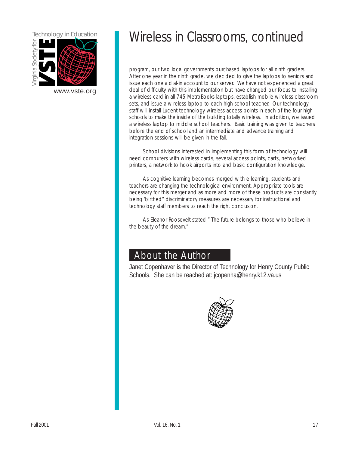

## Technology in Education Wireless in Classrooms, continued

program, our two local governments purchased laptops for all ninth graders. After one year in the ninth grade, we decided to give the laptops to seniors and issue each one a dial-in account to our server. We have not experienced a great [www.vste.org](http://www.vste.org) deal of difficulty with this implementation but have changed our focus to installing a wireless card in all 745 MetroBooks laptops, establish mobile wireless classroom sets, and issue a wireless laptop to each high school teacher. Our technology staff will install Lucent technology wireless access points in each of the four high schools to make the inside of the building totally wireless. In addition, we issued a wireless laptop to middle school teachers. Basic training was given to teachers before the end of school and an intermediate and advance training and integration sessions will be given in the fall.

> School divisions interested in implementing this form of technology will need computers with wireless cards, several access points, carts, networked printers, a network to hook airports into and basic configuration knowledge.

As cognitive learning becomes merged with e learning, students and teachers are changing the technological environment. Appropriate tools are necessary for this merger and as more and more of these products are constantly being 'birthed" discriminatory measures are necessary for instructional and technology staff members to reach the right conclusion.

As Eleanor Roosevelt stated," The future belongs to those who believe in the beauty of the dream."

### About the Author

Janet Copenhaver is the Director of Technology for Henry County Public Schools. She can be reached at: jcopenha@henry.k12.va.us

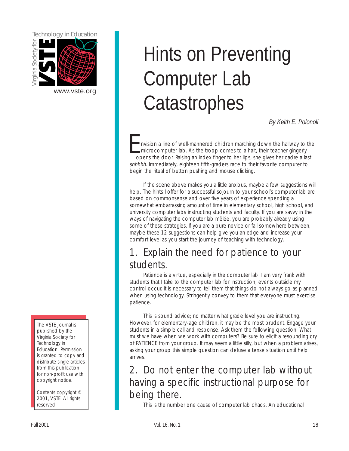<span id="page-17-0"></span>

The VSTE Journal is published by the Virginia Society for Technology in Education. Permission is granted to copy and distribute single articles from this publication for non-profit use with copyright notice.

Contents copyright © 2001, VSTE All rights reserved.

# Hints on Preventing **Computer Lab** Computer Lab **Catastrophes**

*By Keith E. Polonoli* 

nvision a line of well-mannered children marching down the hallway to the microcomputer lab. As the troop comes to a halt, their teacher gingerly opens the door. Raising an index finger to her lips, she gives her cadre a last shhhhh. Immediately, eighteen fifth-graders race to their favorite computer to begin the ritual of button pushing and mouse clicking.

If the scene above makes you a little anxious, maybe a few suggestions will help. The hints I offer for a successful sojourn to your school's computer lab are based on commonsense and over five years of experience spending a somewhat embarrassing amount of time in elementary school, high school, and university computer labs instructing students and faculty. If you are savvy in the ways of navigating the computer lab mêlée, you are probably already using some of these strategies. If you are a pure novice or fall somewhere between, maybe these 12 suggestions can help give you an edge and increase your comfort level as you start the journey of teaching with technology.

## 1. Explain the need for patience to your students.

Patience is a virtue, especially in the computer lab. I am very frank with students that I take to the computer lab for instruction; events outside my control occur. It is necessary to tell them that things do not always go as planned when using technology. Stringently convey to them that everyone must exercise patience.

This is sound advice; no matter what grade level you are instructing. However, for elementary-age children, it may be the most prudent. Engage your students in a simple call and response. Ask them the following question: What must we have when we work with computers? Be sure to elicit a resounding cry of PATIENCE from your group. It may seem a little silly, but when a problem arises, asking your group this simple question can defuse a tense situation until help arrives.

## 2. Do not enter the computer lab without having a specific instructional purpose for being there.

This is the number one cause of computer lab chaos. An educational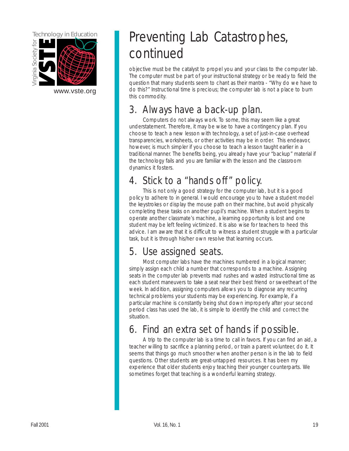

[www.vste.org](http://www.vste.org) 

## Preventing Lab Catastrophes, continued

objective must be the catalyst to propel you and your class to the computer lab. The computer must be part of your instructional strategy or be ready to field the question that many students seem to chant as their mantra - "Why do we have to do this?" Instructional time is precious; the computer lab is not a place to burn this commodity.

## 3. Always have a back-up plan.

Computers do not always work. To some, this may seem like a great understatement. Therefore, it may be wise to have a contingency plan. If you choose to teach a new lesson with technology, a set of just-in-case overhead transparencies, worksheets, or other activities may be in order. This endeavor, however, is much simpler if you choose to teach a lesson taught earlier in a traditional manner. The benefits being, you already have your "backup" material if the technology fails and you are familiar with the lesson and the classroom dynamics it fosters.

## 4. Stick to a "hands off" policy.

This is not only a good strategy for the computer lab, but it is a good policy to adhere to in general. I would encourage you to have a student model the keystrokes or display the mouse path on their machine, but avoid physically completing these tasks on another pupil's machine. When a student begins to operate another classmate's machine, a learning opportunity is lost and one student may be left feeling victimized. It is also wise for teachers to heed this advice. I am aware that it is difficult to witness a student struggle with a particular task, but it is through his/her own resolve that learning occurs.

## 5. Use assigned seats.

Most computer labs have the machines numbered in a logical manner; simply assign each child a number that corresponds to a machine. Assigning seats in the computer lab prevents mad rushes and wasted instructional time as each student maneuvers to take a seat near their best friend or sweetheart of the week. In addition, assigning computers allows you to diagnose any recurring technical problems your students may be experiencing. For example, if a particular machine is constantly being shut down improperly after your second period class has used the lab, it is simple to identify the child and correct the situation.

## 6. Find an extra set of hands if possible.

A trip to the computer lab is a time to call in favors. If you can find an aid, a teacher willing to sacrifice a planning period, or train a parent volunteer, do it. It seems that things go much smoother when another person is in the lab to field questions. Other students are great-untapped resources. It has been my experience that older students enjoy teaching their younger counterparts. We sometimes forget that teaching is a wonderful learning strategy.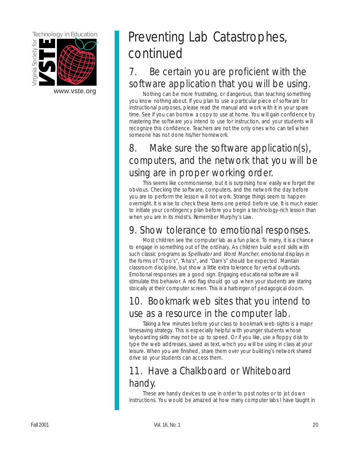

## Technology in Education **Preventing Lab Catastrophes**, continued

## 7. Be certain you are proficient with the software application that you will be using.<br>
Nothing can be more frustrating, or dangerous, than teaching something

you know nothing about. If you plan to use a particular piece of software for instructional purposes, please read the manual and work with it in your spare time. See if you can borrow a copy to use at home. You will gain confidence by mastering the software you intend to use for instruction, and your students will recognize this confidence. Teachers are not the only ones who can tell when someone has not done his/her homework.

## 8. Make sure the software application(s), computers, and the network that you will be using are in proper working order.

This seems like commonsense, but it is surprising how easily we forget the obvious. Checking the software, computers, and the network the day before you are to perform the lesson will not work. Strange things seem to happen overnight. It is wise to check these items one period before use. It is much easier to initiate your contingency plan before you begin a technology-rich lesson than when you are in its midst's. Remember Murphy's Law.

## 9. Show tolerance to emotional responses.

Most children see the computer lab as a fun place. To many, it is a chance to engage in something out of the ordinary. As children build word skills with such classic programs as Spellivator and Word Muncher, emotional displays in the forms of "Ooo's", "Aha's", and "Darn's" should be expected. Maintain classroom discipline, but show a little extra tolerance for verbal outbursts. Emotional responses are a good sign. Engaging educational software will stimulate this behavior. A red flag should go up when your students are staring stoically at their computer screen. This is a harbinger of pedagogical doom.

## 10. Bookmark web sites that you intend to use as a resource in the computer lab.

Taking a few minutes before your class to bookmark web sights is a major timesaving strategy. This is especially helpful with younger students whose keyboarding skills may not be up to speed. Or if you like, use a floppy disk to type the web addresses, saved as text, which you will be using in class at your leisure. When you are finished, share them over your building's network shared drive so your students can access them.

## 11. Have a Chalkboard or Whiteboard handy.

These are handy devices to use in order to post notes or to jot down instructions. You would be amazed at how many computer labs I have taught in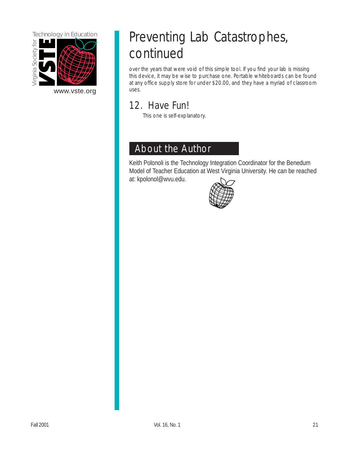

[www.vste.org](http://www.vste.org) uses.

## Technology in Education **Preventing Lab Catastrophes**, continued

over the years that were void of this simple tool. If you find your lab is missing this device, it may be wise to purchase one. Portable whiteboards can be found at any office supply store for under \$20.00, and they have a myriad of classroom

## 12. Have Fun!

This one is self-explanatory.

### About the Author

Keith Polonoli is the Technology Integration Coordinator for the Benedum Model of Teacher Education at West Virginia University. He can be reached at: kpolonol@wvu.edu.

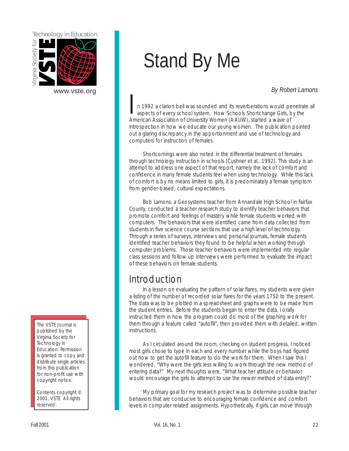<span id="page-21-0"></span>

[www.vste.org](http://www.vste.org) 

The VSTE Journal is published by the Virginia Society for Technology in Education. Permission is granted to copy and distribute single articles from this publication for non-profit use with copyright notice.

Contents copyright © 2001, VSTE All rights reserved.

# Stand By Me

#### *By Robert Lamons*

n 1992 a clarion bell was sounded and its reverberations would penetrate all aspects of every school system. How Schools Shortchange Girls, by the American Association of University Women (AAUW), started a wave of introspection in how we educate our young women. The publication pointed out a glaring discrepancy in the apportionment and use of technology and computers for instruction of females.

Shortcomings were also noted in the differential treatment of females through technology instruction in schools (Cushner et al., 1992). This study is an attempt to address one aspect of that report, namely the lack of comfort and confidence in many female students feel when using technology. While this lack of comfort is by no means limited to girls, it is predominately a female symptom from gender-based, cultural expectations.

Bob Lamons, a Geosystems teacher from Annandale High School in Fairfax County, conducted a teacher research study to identify teacher behaviors that promote comfort and feelings of mastery while female students worked with computers. The behaviors that were identified came from data collected from students in five science course sections that use a high level of technology. Through a series of surveys, interviews and personal journals, female students identified teacher behaviors they found to be helpful when working through computer problems. Those teacher behaviors were implemented into regular class sessions and follow up interviews were performed to evaluate the impact of these behaviors on female students.

### Introduction

In a lesson on evaluating the pattern of solar flares, my students were given a listing of the number of recorded solar flares for the years 1750 to the present. The data was to be plotted in a spreadsheet and graphs were to be made from the student entries. Before the students began to enter the data, I orally instructed them in how the program could do most of the graphing work for them through a feature called "autofill", then provided them with detailed, written instructions.

As I circulated around the room, checking on student progress, I noticed most girls chose to type in each and every number while the boys had figured out how to get the autofill feature to do the work for them. When I saw this I wondered, "Why were the girls less willing to work through the new method of entering data?" My next thoughts were, "What teacher attitude or behavior would encourage the girls to attempt to use the newer method of data entry?"

My primary goal for my research project was to determine possible teacher behaviors that are conducive to encouraging female confidence and comfort levels in computer related assignments. Hypothetically, if girls can move through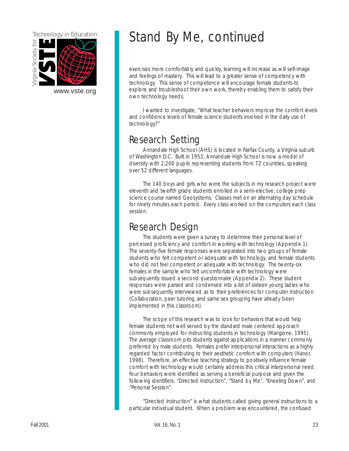

## Technology in Education Stand By Me, continued

exercises more comfortably and quickly, learning will increase as will self-image and feelings of mastery. This will lead to a greater sense of competency with technology. This sense of competence will encourage female students to [www.vste.org](http://www.vste.org) explore and troubleshoot their own work, thereby enabling them to satisfy their own technology needs.

> I wanted to investigate, "What teacher behaviors improve the comfort levels and confidence levels of female science students involved in the daily use of technology?"

### Research Setting

Annandale High School (AHS) is located in Fairfax County, a Virginia suburb of Washington D.C. Built in 1953, Annandale High School is now a model of diversity with 2,200 pupils representing students from 72 countries, speaking over 52 different languages.

The 140 boys and girls who were the subjects in my research project were eleventh and twelfth grade students enrolled in a semi-elective, college prep science course named Geosystems. Classes met on an alternating day schedule for ninety minutes each period. Every class worked on the computers each class session.

### Research Design

The students were given a survey to determine their personal level of perceived proficiency and comfort in working with technology (Appendix 1). The seventy-five female responses were separated into two groups of female students who felt competent or adequate with technology, and female students who did not feel competent or adequate with technology. The twenty-six females in the sample who felt uncomfortable with technology were subsequently issued a second questionnair[e \(Appendix 2\).](#page-28-0) These student responses were parsed and condensed into a list of sixteen young ladies who were subsequently interviewed as to their preferences for computer instruction. (Collaboration, peer tutoring, and same sex grouping have already been implemented in this classroom).

The scope of this research was to look for behaviors that would help female students not well served by the standard male centered approach commonly employed for instructing students in technology (Mangione, 1995). The average classroom pits students against applications in a manner commonly preferred by male students. Females prefer interpersonal interactions as a highly regarded factor contributing to their aesthetic comfort with computers (Hanor, 1998). Therefore, an effective teaching strategy to positively influence female comfort with technology would certainly address this critical interpersonal need. Four behaviors were identified as serving a beneficial purpose and given the following identifiers: "Directed Instruction", "Stand by Me", "Kneeling Down", and "Personal Session".

"Directed Instruction" is what students called giving general instructions to a particular individual student. When a problem was encountered, the confused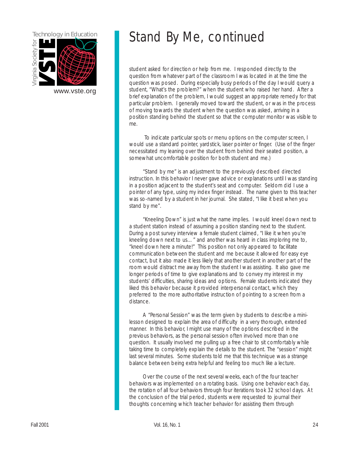

## Technology in Education Stand By Me, continued

student asked for direction or help from me. I responded directly to the question from whatever part of the classroom I was located in at the time the question was posed. During especially busy periods of the day I would query a [www.vste.org](http://www.vste.org) student, "What's the problem?" when the student who raised her hand. After a brief explanation of the problem, I would suggest an appropriate remedy for that particular problem. I generally moved toward the student, or was in the process of moving towards the student when the question was asked, arriving in a position standing behind the student so that the computer monitor was visible to me.

> To indicate particular spots or menu options on the computer screen, I would use a standard pointer, yardstick, laser pointer or finger. (Use of the finger necessitated my leaning over the student from behind their seated position, a somewhat uncomfortable position for both student and me.)

"Stand by me" is an adjustment to the previously described directed instruction. In this behavior I never gave advice or explanations until I was standing in a position adjacent to the student's seat and computer. Seldom did I use a pointer of any type, using my index finger instead. The name given to this teacher was so-named by a student in her journal. She stated, "I like it best when you stand by me".

"Kneeling Down" is just what the name implies. I would kneel down next to a student station instead of assuming a position standing next to the student. During a post survey interview a female student claimed, "I like it when you're kneeling down next to us…" and another was heard in class imploring me to, "kneel down here a minute!" This position not only appeared to facilitate communication between the student and me because it allowed for easy eye contact, but it also made it less likely that another student in another part of the room would distract me away from the student I was assisting. It also gave me longer periods of time to give explanations and to convey my interest in my students' difficulties, sharing ideas and options. Female students indicated they liked this behavior because it provided interpersonal contact, which they preferred to the more authoritative instruction of pointing to a screen from a distance.

A "Personal Session" was the term given by students to describe a minilesson designed to explain the area of difficulty in a very thorough, extended manner. In this behavior, I might use many of the options described in the previous behaviors, as the personal session often involved more than one question. It usually involved me pulling up a free chair to sit comfortably while taking time to completely explain the details to the student. The "session" might last several minutes. Some students told me that this technique was a strange balance between being extra helpful and feeling too much like a lecture.

Over the course of the next several weeks, each of the four teacher behaviors was implemented on a rotating basis. Using one behavior each day, the rotation of all four behaviors through four iterations took 32 school days. At the conclusion of the trial period, students were requested to journal their thoughts concerning which teacher behavior for assisting them through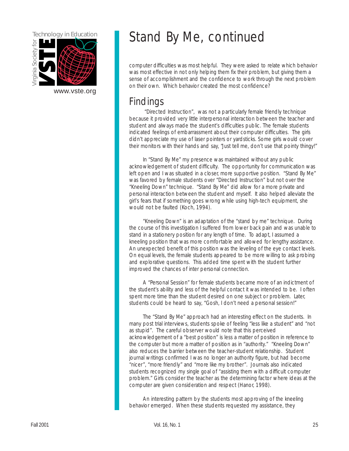

## Technology in Education Stand By Me, continued

computer difficulties was most helpful. They were asked to relate which behavior was most effective in not only helping them fix their problem, but giving them a sense of accomplishment and the confidence to work through the next problem on their own. Which behavior created the most confidence?

### **Findings**

"Directed Instruction", was not a particularly female friendly technique because it provided very little interpersonal interaction between the teacher and student and always made the student's difficulties public. The female students indicated feelings of embarrassment about their computer difficulties. The girls didn't appreciate my use of laser pointers or yardsticks. Some girls would cover their monitors with their hands and say, "Just tell me, don't use that pointy thingy!"

In "Stand By Me" my presence was maintained without any public acknowledgement of student difficulty. The opportunity for communication was left open and I was situated in a closer, more supportive position. "Stand By Me" was favored by female students over "Directed Instruction" but not over the "Kneeling Down" technique. "Stand By Me" did allow for a more private and personal interaction between the student and myself. It also helped alleviate the girl's fears that if something goes wrong while using high-tech equipment, she would not be faulted (Koch, 1994).

"Kneeling Down" is an adaptation of the "stand by me" technique. During the course of this investigation I suffered from lower back pain and was unable to stand in a stationery position for any length of time. To adapt, I assumed a kneeling position that was more comfortable and allowed for lengthy assistance. An unexpected benefit of this position was the leveling of the eye contact levels. On equal levels, the female students appeared to be more willing to ask probing and explorative questions. This added time spent with the student further improved the chances of inter personal connection.

A "Personal Session" for female students became more of an indictment of the student's ability and less of the helpful contact it was intended to be. I often spent more time than the student desired on one subject or problem. Later, students could be heard to say, "Gosh, I don't need a personal session!"

The "Stand By Me" approach had an interesting effect on the students. In many post trial interviews, students spoke of feeling "less like a student" and "not as stupid". The careful observer would note that this perceived acknowledgement of a "best position" is less a matter of position in reference to the computer but more a matter of position as in "authority." "Kneeling Down" also reduces the barrier between the teacher-student relationship. Student journal writings confirmed I was no longer an authority figure, but had become "nicer", "more friendly" and "more like my brother". Journals also indicated students recognized my single goal of "assisting them with a difficult computer problem." Girls consider the teacher as the determining factor where ideas at the computer are given consideration and respect (Hanor, 1998).

An interesting pattern by the students most approving of the kneeling behavior emerged. When these students requested my assistance, they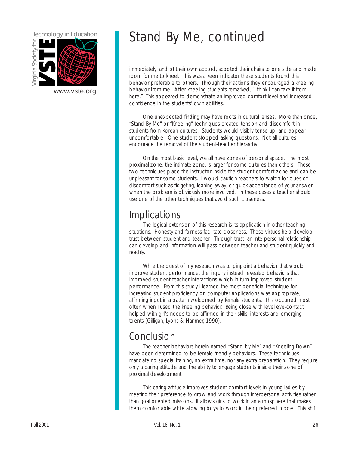

## Technology in Education Stand By Me, continued

immediately, and of their own accord, scooted their chairs to one side and made room for me to kneel. This was a keen indicator these students found this behavior preferable to others. Through their actions they encouraged a kneeling [www.vste.org](http://www.vste.org) behavior from me. After kneeling students remarked, "I think I can take it from here." This appeared to demonstrate an improved comfort level and increased confidence in the students' own abilities.

> One unexpected finding may have roots in cultural lenses. More than once, "Stand By Me" or "Kneeling" techniques created tension and discomfort in students from Korean cultures. Students would visibly tense up, and appear uncomfortable. One student stopped asking questions. Not all cultures encourage the removal of the student-teacher hierarchy.

> On the most basic level, we all have zones of personal space. The most proximal zone, the intimate zone, is larger for some cultures than others. These two techniques place the instructor inside the student comfort zone and can be unpleasant for some students. I would caution teachers to watch for clues of discomfort such as fidgeting, leaning away, or quick acceptance of your answer when the problem is obviously more involved. In these cases a teacher should use one of the other techniques that avoid such closeness.

### **Implications**

The logical extension of this research is its application in other teaching situations. Honesty and fairness facilitate closeness. These virtues help develop trust between student and teacher. Through trust, an interpersonal relationship can develop and information will pass between teacher and student quickly and readily.

While the quest of my research was to pinpoint a behavior that would improve student performance, the inquiry instead revealed behaviors that improved student teacher interactions which in turn improved student performance. From this study I learned the most beneficial technique for increasing student proficiency on computer applications was appropriate, affirming input in a pattern welcomed by female students. This occurred most often when I used the kneeling behavior. Being close with level eye-contact helped with girl's needs to be affirmed in their skills, interests and emerging talents (Gilligan, Lyons & Hanmer, 1990).

### Conclusion

The teacher behaviors herein named "Stand by Me" and "Kneeling Down" have been determined to be female friendly behaviors. These techniques mandate no special training, no extra time, nor any extra preparation. They require only a caring attitude and the ability to engage students inside their zone of proximal development.

This caring attitude improves student comfort levels in young ladies by meeting their preference to grow and work through interpersonal activities rather than goal oriented missions. It allows girls to work in an atmosphere that makes them comfortable while allowing boys to work in their preferred mode. This shift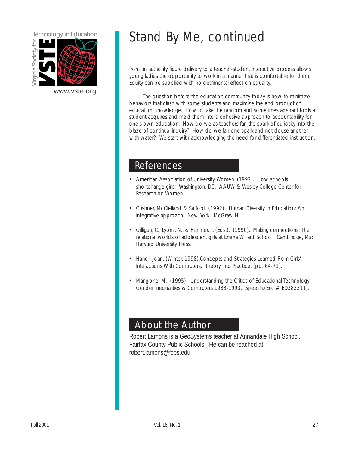

## Technology in Education Stand By Me, continued

from an authority figure delivery to a teacher-student interactive process allows young ladies the opportunity to work in a manner that is comfortable for them. Equity can be supplied with no detrimental effect on equality.

The question before the education community today is how to minimize behaviors that clash with some students and maximize the end product of education, knowledge. How to take the random and sometimes abstract tools a student acquires and meld them into a cohesive approach to accountability for one's own education. How do we as teachers fan the spark of curiosity into the blaze of continual inquiry? How do we fan one spark and not douse another with water? We start with acknowledging the need for differentiated instruction.

### References

- American Association of University Women. (1992). How schools shortchange girls. Washington, DC: AAUW & Wesley College Center for Research on Women.
- Cushner, McClelland & Safford. (1992). Human Diversity in Education: An integrative approach. New York: McGraw Hill.
- Gilligan, C., Lyons, N., & Hanmer, T. (Eds.). (1990). Making connections: The relational worlds of adolescent girls at Emma Willard School. Cambridge, Ma: Harvard University Press.
- Hanor, Joan. (Winter, 1998).Concepts and Strategies Learned From Girls' Interactions With Computers. Theory Into Practice, (pp. 64-71).
- Mangione, M. (1995). Understanding the Critics of Educational Technology: Gender Inequalities & Computers 1983-1993. Speech.(Eric # ED383311).

### About the Author

Robert Lamons is a GeoSystems teacher at Annandale High School, Fairfax County Public Schools. He can be reached at: robert.lamons@fcps.edu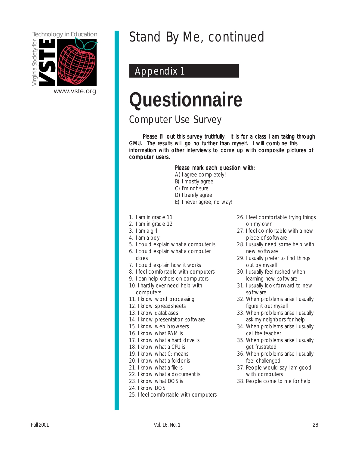

## Technology in Education Stand By Me, continued

### Appendix 1

# **Questionnaire**

Computer Use Survey

Please fill out this survey truthfully. It is for a class I am taking through GMU. The results will go no further than myself. I will combine this information with other interviews to come up with composite pictures of computer users.

#### Please mark each question with:

- A) I agree completely!
- B) I mostly agree
- C) I'm not sure
- D) I barely agree
- E) I never agree, no way!
- 1 . I am in grade 11
- 2 . I am in grade 12
- 3 . I am a girl
- 4 . I am a boy
- 5 . I could explain what a computer is
- 6 . I could explain what a computer
- does
- 7. I could explain how it works
- 8. I feel comfortable with computers
- 9. I can help others on computers
- 10. I hardly ever need help with computers
- 11. I know word processing
- 12. I know spreadsheets
- 13. I know databases
- 14. I know presentation software
- 15. I know web browsers
- 16. I know what RAM is
- 17. I know what a hard drive is
- 18. I know what a CPU is
- 19. I know what C: means
- 20. I know what a folder is
- 21. I know what a file is
- 22. I know what a document is
- 23. I know what DOS is
- 24. I know DOS
- 25. I feel comfortable with computers
- 26. I feel comfortable trying things on my own
- 27. I feel comfortable with a new piece of software
- 28. I usually need some help with new software
- 29. I usually prefer to find things out by myself
- 30. I usually feel rushed when learning new software
- 31. I usually look forward to new software
- 32. When problems arise I usually figure it out myself
- 33. When problems arise I usually ask my neighbors for help
- 34. When problems arise I usually call the teacher
- 35. When problems arise I usually get frustrated
- 36. When problems arise I usually feel challenged
- 37. People would say I am good with computers
- 38. People come to me for help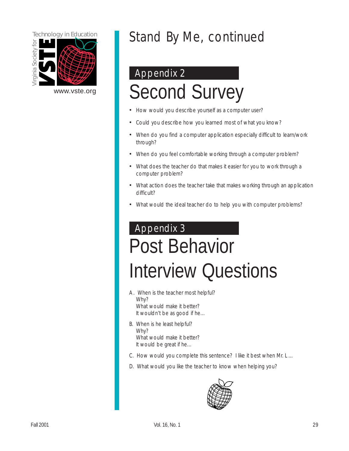<span id="page-28-0"></span>

## Stand By Me, continued

## Appendix 2

# [www.vste.org](http://www.vste.org) Second Survey

- How would you describe yourself as a computer user?
- Could you describe how you learned most of what you know?
- When do you find a computer application especially difficult to learn/work through?
- When do you feel comfortable working through a computer problem?
- What does the teacher do that makes it easier for you to work through a computer problem?
- What action does the teacher take that makes working through an application difficult?
- What would the ideal teacher do to help you with computer problems?

## Appendix 3 Post Behavior Interview Questions

- A. When is the teacher most helpful? Why? What would make it better? It wouldn't be as good if he…
- B. When is he least helpful? Why? What would make it better? It would be great if he…
- C. How would you complete this sentence? I like it best when Mr. L …
- D. What would you like the teacher to know when helping you?

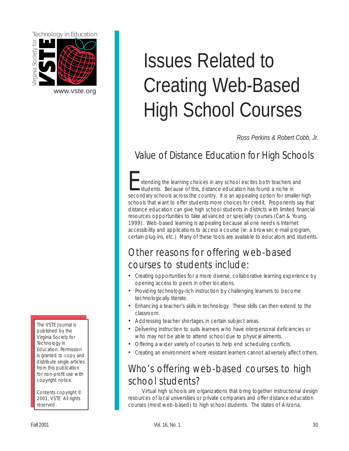<span id="page-29-0"></span>

[www.vste.org](http://www.vste.org) 

The VSTE Journal is published by the Virginia Society for Technology in Education. Permission is granted to copy and distribute single articles from this publication for non-profit use with copyright notice.

Contents copyright © 2001, VSTE All rights reserved.

# Issues Related to Creating Web-Based High School Courses

*Ross Perkins & Robert Cobb, Jr.* 

## Value of Distance Education for High Schools

stending the learning choices in any school excites both teachers and<br>students. Because of this, distance education has found a niche in<br>secondary schools across the country. It is an appealing ontion for smaller. secondary schools across the country. It is an appealing option for smaller high schools that want to offer students more choices for credit. Proponents say that distance education can give high school students in districts with limited financial resources opportunities to take advanced or specialty courses (Carr & Young, 1999). Web-based learning is appealing because all one needs is Internet accessibility and applications to access a course (ie: a browser, e-mail program, certain plug-ins, etc.) Many of these tools are available to educators and students.

### Other reasons for offering web-based courses to students include:

- Creating opportunities for a more diverse, collaborative learning experience by opening access to peers in other locations.
- Providing technology-rich instruction by challenging learners to become technologically literate.
- Enhancing a teacher's skills in technology. These skills can then extend to the classroom.
- Addressing teacher shortages in certain subject areas.
- Delivering instruction to suits learners who have interpersonal deficiencies or who may not be able to attend school due to physical ailments.
- Offering a wider variety of courses to help end scheduling conflicts.
- Creating an environment where resistant learners cannot adversely affect others.

## Who's offering web-based courses to high school students?

Virtual high schools are organizations that bring together instructional design resources of local universities or private companies and offer distance education courses (most web-based) to high school students. The states of Arizona,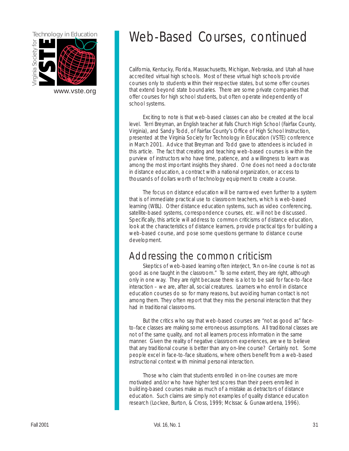

## Technology in Education Web-Based Courses, continued

California, Kentucky, Florida, Massachusetts, Michigan, Nebraska, and Utah all have accredited virtual high schools. Most of these virtual high schools provide courses only to students within their respective states, but some offer courses [www.vste.org](http://www.vste.org) and that extend beyond state boundaries. There are some private companies that offer courses for high school students, but often operate independently of school systems.

> Exciting to note is that web-based classes can also be created at the local level. Terri Breyman, an English teacher at Falls Church High School (Fairfax County, Virginia), and Sandy Todd, of Fairfax County's Office of High School Instruction, presented at the Virginia Society for Technology in Education (VSTE) conference in March 2001. Advice that Breyman and Todd gave to attendees is included in this article. The fact that creating and teaching web-based courses is within the purview of instructors who have time, patience, and a willingness to learn was among the most important insights they shared. One does not need a doctorate in distance education, a contract with a national organization, or access to thousands of dollars worth of technology equipment to create a course.

> The focus on distance education will be narrowed even further to a system that is of immediate practical use to classroom teachers, which is web-based learning (WBL). Other distance education systems, such as video conferencing, satellite-based systems, correspondence courses, etc. will not be discussed. Specifically, this article will address to common criticisms of distance education, look at the characteristics of distance learners, provide practical tips for building a web-based course, and pose some questions germane to distance course development.

## Addressing the common criticism

Skeptics of web-based learning often interject, "An on-line course is not as good as one taught in the classroom." To some extent, they are right, although only in one way. They are right because there is a lot to be said for face-to-face interaction – we are, after all, social creatures. Learners who enroll in distance education courses do so for many reasons, but avoiding human contact is not among them. They often report that they miss the personal interaction that they had in traditional classrooms.

But the critics who say that web-based courses are "not as good as" faceto-face classes are making some erroneous assumptions. All traditional classes are not of the same quality, and not all learners process information in the same manner. Given the reality of negative classroom experiences, are we to believe that any traditional course is better than any on-line course? Certainly not. Some people excel in face-to-face situations, where others benefit from a web-based instructional context with minimal personal interaction.

Those who claim that students enrolled in on-line courses are more motivated and/or who have higher test scores than their peers enrolled in building-based courses make as much of a mistake as detractors of distance education. Such claims are simply not examples of quality distance education research (Lockee, Burton, & Cross, 1999; McIssac & Gunawardena, 1996).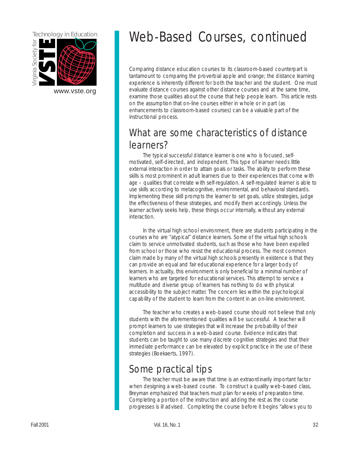

## Technology in Education Web-Based Courses, continued

Comparing distance education courses to its classroom-based counterpart is tantamount to comparing the proverbial apple and orange; the distance learning experience is inherently different for both the teacher and the student. One must [www.vste.org](http://www.vste.org) evaluate distance courses against other distance courses and at the same time, examine those qualities about the course that help people learn. This article rests on the assumption that on-line courses either in whole or in part (as enhancements to classroom-based courses) can be a valuable part of the instructional process.

## What are some characteristics of distance learners?

The typical successful distance learner is one who is focused, selfmotivated, self-directed, and independent. This type of learner needs little external interaction in order to attain goals or tasks. The ability to perform these skills is most prominent in adult learners due to their experiences that come with age – qualities that correlate with self-regulation. A self-regulated learner is able to use skills according to metacognitive, environmental, and behavioral standards. Implementing these skill prompts the learner to set goals, utilize strategies, judge the effectiveness of these strategies, and modify them accordingly. Unless the learner actively seeks help, these things occur internally, without any external interaction.

In the virtual high school environment, there are students participating in the courses who are "atypical" distance learners. Some of the virtual high schools claim to service unmotivated students, such as those who have been expelled from school or those who resist the educational process. The most common claim made by many of the virtual high schools presently in existence is that they can provide an equal and fair educational experience for a larger body of learners. In actuality, this environment is only beneficial to a minimal number of learners who are targeted for educational services. This attempt to service a multitude and diverse group of learners has nothing to do with physical accessibility to the subject matter. The concern lies within the psychological capability of the student to learn from the content in an on-line environment.

The teacher who creates a web-based course should not believe that only students with the aforementioned qualities will be successful. A teacher will prompt learners to use strategies that will increase the probability of their completion and success in a web-based course. Evidence indicates that students can be taught to use many discrete cognitive strategies and that their immediate performance can be elevated by explicit practice in the use of these strategies (Boekaerts, 1997).

## Some practical tips

The teacher must be aware that time is an extraordinarily important factor when designing a web-based course. To construct a quality web-based class, Breyman emphasized that teachers must plan for weeks of preparation time. Completing a portion of the instruction and adding the rest as the course progresses is ill advised. Completing the course before it begins "allows you to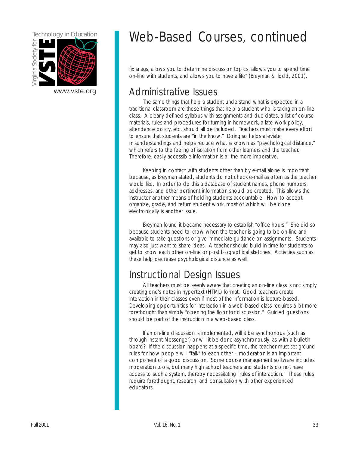

## Technology in Education Web-Based Courses, continued

fix snags, allows you to determine discussion topics, allows you to spend time on-line with students, and allows you to have a life" (Breyman & Todd, 2001).

### Administrative Issues

The same things that help a student understand what is expected in a traditional classroom are those things that help a student who is taking an on-line class. A clearly defined syllabus with assignments and due dates, a list of course materials, rules and procedures for turning in homework, a late-work policy, attendance policy, etc. should all be included. Teachers must make every effort to ensure that students are "in the know." Doing so helps alleviate misunderstandings and helps reduce what is known as "psychological distance," which refers to the feeling of isolation from other learners and the teacher. Therefore, easily accessible information is all the more imperative.

Keeping in contact with students other than by e-mail alone is important because, as Breyman stated, students do not check e-mail as often as the teacher would like. In order to do this a database of student names, phone numbers, addresses, and other pertinent information should be created. This allows the instructor another means of holding students accountable. How to accept, organize, grade, and return student work, most of which will be done electronically is another issue.

Breyman found it became necessary to establish "office hours." She did so because students need to know when the teacher is going to be on-line and available to take questions or give immediate guidance on assignments. Students may also just want to share ideas. A teacher should build in time for students to get to know each other on-line or post biographical sketches. Activities such as these help decrease psychological distance as well.

### Instructional Design Issues

All teachers must be keenly aware that creating an on-line class is not simply creating one's notes in hypertext (HTML) format. Good teachers create interaction in their classes even if most of the information is lecture-based. Developing opportunities for interaction in a web-based class requires a lot more forethought than simply "opening the floor for discussion." Guided questions should be part of the instruction in a web-based class.

If an on-line discussion is implemented, will it be synchronous (such as through Instant Messenger) or will it be done asynchronously, as with a bulletin board? If the discussion happens at a specific time, the teacher must set ground rules for how people will "talk" to each other – moderation is an important component of a good discussion. Some course management software includes moderation tools, but many high school teachers and students do not have access to such a system, thereby necessitating "rules of interaction." These rules require forethought, research, and consultation with other experienced educators.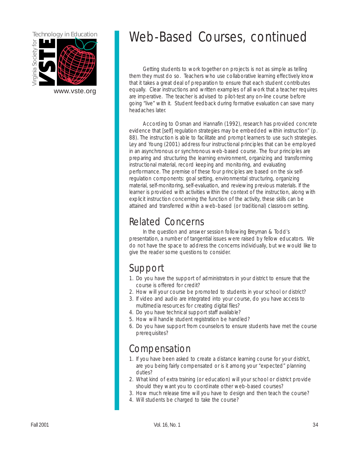

## Technology in Education Web-Based Courses, continued

Getting students to work together on projects is not as simple as telling them they must do so. Teachers who use collaborative learning effectively know that it takes a great deal of preparation to ensure that each student contributes [www.vste.org](http://www.vste.org) equally. Clear instructions and written examples of all work that a teacher requires are imperative. The teacher is advised to pilot-test any on-line course before going "live" with it. Student feedback during formative evaluation can save many headaches later.

> According to Osman and Hannafin (1992), research has provided concrete evidence that [self] regulation strategies may be embedded within instruction" (p. 88). The instruction is able to facilitate and prompt learners to use such strategies. Ley and Young (2001) address four instructional principles that can be employed in an asynchronous or synchronous web-based course. The four principles are preparing and structuring the learning environment, organizing and transforming instructional material, record keeping and monitoring, and evaluating performance. The premise of these four principles are based on the six selfregulation components: goal setting, environmental structuring, organizing material, self-monitoring, self-evaluation, and reviewing previous materials. If the learner is provided with activities within the context of the instruction, along with explicit instruction concerning the function of the activity, these skills can be attained and transferred within a web-based (or traditional) classroom setting.

### Related Concerns

In the question and answer session following Breyman & Todd's presentation, a number of tangential issues were raised by fellow educators. We do not have the space to address the concerns individually, but we would like to give the reader some questions to consider.

## Support

- 1. Do you have the support of administrators in your district to ensure that the course is offered for credit?
- 2. How will your course be promoted to students in your school or district?
- 3. If video and audio are integrated into your course, do you have access to multimedia resources for creating digital files?
- 4. Do you have technical support staff available?
- 5. How will handle student registration be handled?
- 6. Do you have support from counselors to ensure students have met the course prerequisites?

## Compensation

- 1. If you have been asked to create a distance learning course for your district, are you being fairly compensated or is it among your "expected" planning duties?
- 2. What kind of extra training (or education) will your school or district provide should they want you to coordinate other web-based courses?
- 3. How much release time will you have to design and then teach the course?
- 4. Will students be charged to take the course?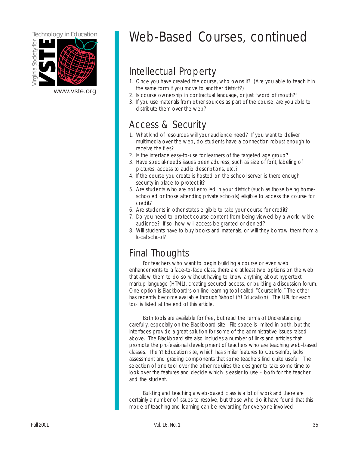

## Technology in Education Web-Based Courses, continued

## Intellectual Property

- 1. Once you have created the course, who owns it? (Are you able to teach it in
- **the same form if you move to another district?)**<br>2. Is course ownership in contractual language, or just "word of mouth?"
	- 3. If you use materials from other sources as part of the course, are you able to distribute them over the web?

### Access & Security

- 1. What kind of resources will your audience need? If you want to deliver multimedia over the web, do students have a connection robust enough to receive the files?
- 2. Is the interface easy-to-use for learners of the targeted age group?
- 3. Have special-needs issues been address, such as size of font, labeling of pictures, access to audio descriptions, etc.?
- 4. If the course you create is hosted on the school server, is there enough security in place to protect it?
- 5. Are students who are not enrolled in your district (such as those being homeschooled or those attending private schools) eligible to access the course for credit?
- 6. Are students in other states eligible to take your course for credit?
- 7. Do you need to protect course content from being viewed by a world-wide audience? If so, how will access be granted or denied?
- 8. Will students have to buy books and materials, or will they borrow them from a local school?

## Final Thoughts

For teachers who want to begin building a course or even web enhancements to a face-to-face class, there are at least two options on the web that allow them to do so without having to know anything about hypertext markup language (HTML), creating secured access, or building a discussion forum. One option is Blackboard's on-line learning tool called "CourseInfo." The other has recently become available through Yahoo! (Y! Education). The URL for each tool is listed at the end of this article.

Both tools are available for free, but read the Terms of Understanding carefully, especially on the Blackboard site. File space is limited in both, but the interfaces provide a great solution for some of the administrative issues raised above. The Blackboard site also includes a number of links and articles that promote the professional development of teachers who are teaching web-based classes. The Y! Education site, which has similar features to CourseInfo, lacks assessment and grading components that some teachers find quite useful. The selection of one tool over the other requires the designer to take some time to look over the features and decide which is easier to use – both for the teacher and the student.

Building and teaching a web-based class is a lot of work and there are certainly a number of issues to resolve, but those who do it have found that this mode of teaching and learning can be rewarding for everyone involved.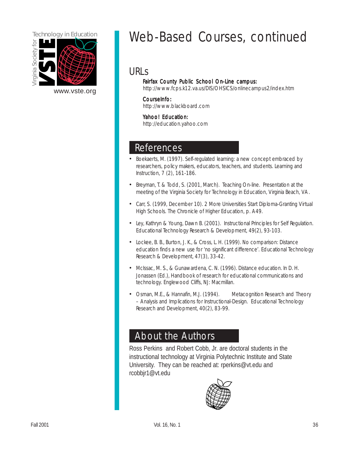

[www.vste.org](http://www.vste.org) 

## Technology in Education Meb-Based Courses, continued

### URLs

#### Fairfax County Public School On-Line campus:

<http://www.fcps.k12.va.us/DIS/OHSICS/onlinecampus2/index.htm>

#### CourseInfo: CourseInfo:

<http://www.blackboard.com>

#### Yahoo! Education:

<http://education.yahoo.com>

### References

- Boekaerts, M. (1997). Self-regulated learning: a new concept embraced by researchers, policy makers, educators, teachers, and students. Learning and Instruction, 7 (2), 161-186.
- Breyman, T. & Todd, S. (2001, March). Teaching On-line. Presentation at the meeting of the Virginia Society for Technology in Education, Virginia Beach, VA.
- Carr, S. (1999, December 10). 2 More Universities Start Diploma-Granting Virtual High Schools. The Chronicle of Higher Education, p. A49.
- Ley, Kathryn & Young, Dawn B. (2001). Instructional Principles for Self Regulation. Educational Technology Research & Development, 49(2), 93-103.
- Lockee, B. B., Burton, J. K., & Cross, L. H. (1999). No comparison: Distance education finds a new use for 'no significant difference'. Educational Technology Research & Development, 47(3), 33-42.
- McIssac, M. S., & Gunawardena, C. N. (1996). Distance education. In D. H. Jonassen (Ed.), Handbook of research for educational communications and technology. Englewood Cliffs, NJ: Macmillan.
- Osman, M.E., & Hannafin, M.J. (1994). Metacognition Research and Theory – Analysis and Implications for Instructional-Design. Educational Technology Research and Development, 40(2), 83-99.

### About the Authors

Ross Perkins and Robert Cobb, Jr. are doctoral students in the instructional technology at Virginia Polytechnic Institute and State University. They can be reached at: rperkins@vt.edu and rcobbjr1@vt.edu

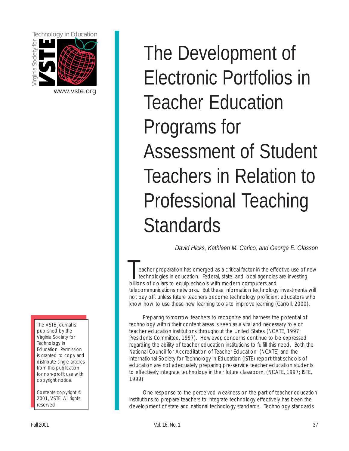<span id="page-36-0"></span>

[www.vste.org](http://www.vste.org) 

The VSTE Journal is published by the Virginia Society for Technology in Education. Permission is granted to copy and distribute single articles from this publication for non-profit use with copyright notice.

Contents copyright © 2001, VSTE All rights reserved.

The Development of Electronic Portfolios in Teacher Education Programs for Assessment of Student Teachers in Relation to Professional Teaching **Standards** 

*David Hicks, Kathleen M. Carico, and George E. Glasson* 

eacher preparation has emerged as a critical factor in the effective use of new technologies in education. Federal, state, and local agencies are investing billions of dollars to equip schools with modern computers and telecommunications networks. But these information technology investments will not pay off, unless future teachers become technology proficient educators who know how to use these new learning tools to improve learning (Carroll, 2000).

Preparing tomorrow teachers to recognize and harness the potential of technology within their content areas is seen as a vital and necessary role of teacher education institutions throughout the United States (NCATE, 1997; Presidents Committee, 1997). However, concerns continue to be expressed regarding the ability of teacher education institutions to fulfill this need. Both the National Council for Accreditation of Teacher Education (NCATE) and the International Society for Technology in Education (ISTE) report that schools of education are not adequately preparing pre-service teacher education students to effectively integrate technology in their future classroom. (NCATE, 1997; ISTE, 1999)

One response to the perceived weakness on the part of teacher education institutions to prepare teachers to integrate technology effectively has been the development of state and national technology standards. Technology standards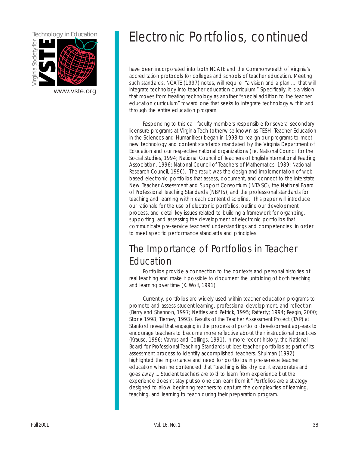

## Technology in Education **Electronic Portfolios**, continued

have been incorporated into both NCATE and the Commonwealth of Virginia's accreditation protocols for colleges and schools of teacher education. Meeting such standards, NCATE (1997) notes, will require "a vision and a plan … that will integrate technology into teacher education curriculum." Specifically, it is a vision that moves from treating technology as another "special addition to the teacher education curriculum" toward one that seeks to integrate technology within and through the entire education program.

Responding to this call, faculty members responsible for several secondary licensure programs at Virginia Tech (otherwise known as TESH: Teacher Education in the Sciences and Humanities) began in 1998 to realign our programs to meet new technology and content standards mandated by the Virginia Department of Education and our respective national organizations (i.e. National Council for the Social Studies, 1994; National Council of Teachers of English/International Reading Association, 1996; National Council of Teachers of Mathematics, 1989; National Research Council, 1996). The result was the design and implementation of web based electronic portfolios that assess, document, and connect to the Interstate New Teacher Assessment and Support Consortium (INTASC), the National Board of Professional Teaching Standards (NBPTS), and the professional standards for teaching and learning within each content discipline. This paper will introduce our rationale for the use of electronic portfolios, outline our development process, and detail key issues related to building a framework for organizing, supporting, and assessing the development of electronic portfolios that communicate pre-service teachers' understandings and competencies in order to meet specific performance standards and principles.

## The Importance of Portfolios in Teacher Education

Portfolios provide a connection to the contexts and personal histories of real teaching and make it possible to document the unfolding of both teaching and learning over time (K. Wolf, 1991)

Currently, portfolios are widely used within teacher education programs to promote and assess student learning, professional development, and reflection (Barry and Shannon, 1997; Nettles and Petrick, 1995; Rafferty; 1994; Reagin, 2000; Stone 1998; Tierney, 1993). Results of the Teacher Assessment Project (TAP) at Stanford reveal that engaging in the process of portfolio development appears to encourage teachers to become more reflective about their instructional practices (Krause, 1996; Vavrus and Collings, 1991). In more recent history, the National Board for Professional Teaching Standards utilizes teacher portfolios as part of its assessment process to identify accomplished teachers. Shulman (1992) highlighted the importance and need for portfolios in pre-service teacher education when he contended that "teaching is like dry ice, it evaporates and goes away ... Student teachers are told to learn from experience but the experience doesn't stay put so one can learn from it." Portfolios are a strategy designed to allow beginning teachers to capture the complexities of learning, teaching, and learning to teach during their preparation program.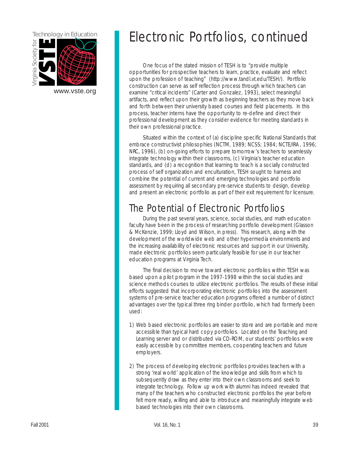

One focus of the stated mission of TESH is to "provide multiple opportunities for prospective teachers to learn, practice, evaluate and reflect upon the profession of teaching" [\(http://www.tandl.vt.edu/TESH/\).](http://www.tandl.vt.edu/TESH/) Portfolio construction can serve as self reflection process through which teachers can [www.vste.org](http://www.vste.org) examine "critical incidents" (Carter and Gonzalez, 1993), select meaningful artifacts, and reflect upon their growth as beginning teachers as they move back and forth between their university based courses and field placements. In this process, teacher interns have the opportunity to re-define and direct their professional development as they consider evidence for meeting standards in their own professional practice.

> Situated within the context of (a) discipline specific National Standards that embrace constructivist philosophies (NCTM, 1989; NCSS; 1984; NCTE/IRA, 1996; NRC, 1996), (b) on-going efforts to prepare tomorrow's teachers to seamlessly integrate technology within their classrooms, (c) Virginia's teacher education standards, and (d) a recognition that learning to teach is a socially constructed process of self organization and enculturation, TESH sought to harness and combine the potential of current and emerging technologies and portfolio assessment by requiring all secondary pre-service students to design, develop and present an electronic portfolio as part of their exit requirement for licensure.

## The Potential of Electronic Portfolios

During the past several years, science, social studies, and math education faculty have been in the process of researching portfolio development (Glasson & McKenzie, 1999; Lloyd and Wilson, in press). This research, along with the development of the worldwide web and other hypermedia environments and the increasing availability of electronic resources and support in our University, made electronic portfolios seem particularly feasible for use in our teacher education programs at Virginia Tech.

The final decision to move toward electronic portfolios within TESH was based upon a pilot program in the 1997-1998 within the social studies and science methods courses to utilize electronic portfolios. The results of these initial efforts suggested that incorporating electronic portfolios into the assessment systems of pre-service teacher education programs offered a number of distinct advantages over the typical three ring binder portfolio, which had formerly been used:

- 1) Web based electronic portfolios are easier to store and are portable and more accessible than typical hard copy portfolios. Located on the Teaching and Learning server and or distributed via CD-ROM, our students' portfolios were easily accessible by committee members, cooperating teachers and future employers.
- 2) The process of developing electronic portfolios provides teachers with a strong 'real world' application of the knowledge and skills from which to subsequently draw as they enter into their own classrooms and seek to integrate technology. Follow up work with alumni has indeed revealed that many of the teachers who constructed electronic portfolios the year before felt more ready, willing and able to introduce and meaningfully integrate web based technologies into their own classrooms.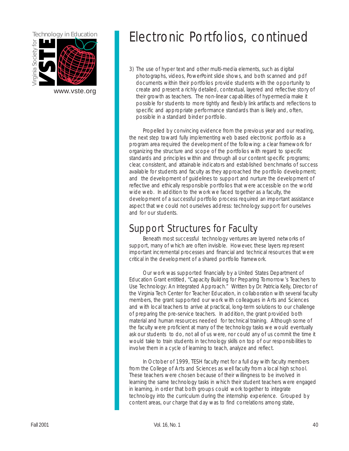

3) The use of hyper text and other multi-media elements, such as digital photographs, videos, PowerPoint slide shows, and both scanned and pdf documents within their portfolios provide students with the opportunity to [www.vste.org](http://www.vste.org) create and present a richly detailed, contextual, layered and reflective story of their growth as teachers. The non-linear capabilities of hypermedia make it possible for students to more tightly and flexibly link artifacts and reflections to specific and appropriate performance standards than is likely and, often, possible in a standard binder portfolio.

> Propelled by convincing evidence from the previous year and our reading, the next step toward fully implementing web based electronic portfolio as a program area required the development of the following: a clear framework for organizing the structure and scope of the portfolios with regard to specific standards and principles within and through all our content specific programs; clear, consistent, and attainable indicators and established benchmarks of success available for students and faculty as they approached the portfolio development; and the development of guidelines to support and nurture the development of reflective and ethically responsible portfolios that were accessible on the world wide web. In addition to the work we faced together as a faculty, the development of a successful portfolio process required an important assistance aspect that we could not ourselves address: technology support for ourselves and for our students.

### Support Structures for Faculty

Beneath most successful technology ventures are layered networks of support, many of which are often invisible. However, these layers represent important incremental processes and financial and technical resources that were critical in the development of a shared portfolio framework.

Our work was supported financially by a United States Department of Education Grant entitled, "Capacity Building for Preparing Tomorrow's Teachers to Use Technology: An Integrated Approach." Written by Dr. Patricia Kelly, Director of the Virginia Tech Center for Teacher Education, in collaboration with several faculty members, the grant supported our work with colleagues in Arts and Sciences and with local teachers to arrive at practical, long-term solutions to our challenge of preparing the pre-service teachers. In addition, the grant provided both material and human resources needed for technical training. Although some of the faculty were proficient at many of the technology tasks we would eventually ask our students to do, not all of us were, nor could any of us commit the time it would take to train students in technology skills on top of our responsibilities to involve them in a cycle of learning to teach, analyze and reflect.

In October of 1999, TESH faculty met for a full day with faculty members from the College of Arts and Sciences as well faculty from a local high school. These teachers were chosen because of their willingness to be involved in learning the same technology tasks in which their student teachers were engaged in learning, in order that both groups could work together to integrate technology into the curriculum during the internship experience. Grouped by content areas, our charge that day was to find correlations among state,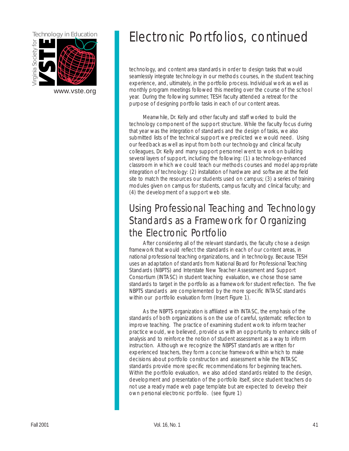

## Technology in Education **Exercise ELECTRONIC PORTFOLIOS, CONTINUED**

technology, and content area standards in order to design tasks that would seamlessly integrate technology in our methods courses, in the student teaching experience, and, ultimately, in the portfolio process. Individual work as well as monthly program meetings followed this meeting over the course of the school year. During the following summer, TESH faculty attended a retreat for the purpose of designing portfolio tasks in each of our content areas.

Meanwhile, Dr. Kelly and other faculty and staff worked to build the technology component of the support structure. While the faculty focus during that year was the integration of standards and the design of tasks, we also submitted lists of the technical support we predicted we would need. Using our feedback as well as input from both our technology and clinical faculty colleagues, Dr. Kelly and many support personnel went to work on building several layers of support, including the following: (1) a technology-enhanced classroom in which we could teach our methods courses and model appropriate integration of technology: (2) installation of hardware and software at the field site to match the resources our students used on campus; (3) a series of training modules given on campus for students, campus faculty and clinical faculty; and (4) the development of a support web site.

## Using Professional Teaching and Technology Standards as a Framework for Organizing the Electronic Portfolio

After considering all of the relevant standards, the faculty chose a design framework that would reflect the standards in each of our content areas, in national professional teaching organizations, and in technology. Because TESH uses an adaptation of standards from National Board for Professional Teaching Standards (NBPTS) and Interstate New Teacher Assessment and Support Consortium (INTASC) in student teaching evaluation, we chose those same standards to target in the portfolio as a framework for student reflection. The five NBPTS standards are complemented by the more specific INTASC standards within our portfolio evaluation form (Insert Figure 1).

As the NBPTS organization is affiliated with INTASC, the emphasis of the standards of both organizations is on the use of careful, systematic reflection to improve teaching. The practice of examining student work to inform teacher practice would, we believed, provide us with an opportunity to enhance skills of analysis and to reinforce the notion of student assessment as a way to inform instruction. Although we recognize the NBPST standards are written for experienced teachers, they form a concise framework within which to make decisions about portfolio construction and assessment while the INTASC standards provide more specific recommendations for beginning teachers. Within the portfolio evaluation, we also added standards related to the design, development and presentation of the portfolio itself, since student teachers do not use a ready made web page template but are expected to develop their own personal electronic portfolio. [\(see figure 1\)](#page-47-0)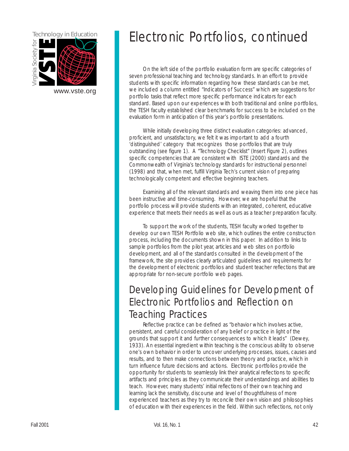

On the left side of the portfolio evaluation form are specific categories of seven professional teaching and technology standards. In an effort to provide students with specific information regarding how these standards can be met, [www.vste.org](http://www.vste.org) we included a column entitled "Indicators of Success" which are suggestions for portfolio tasks that reflect more specific performance indicators for each standard. Based upon our experiences with both traditional and online portfolios, the TESH faculty established clear benchmarks for success to be included on the evaluation form in anticipation of this year's portfolio presentations.

> While initially developing three distinct evaluation categories: advanced, proficient, and unsatisfactory, we felt it was important to add a fourth 'distinguished' category that recognizes those portfolios that are truly outstanding [\(see figure 1\).](#page-47-0) A "Technology Checklist" [\(Insert Figure 2\),](#page-51-0) outlines specific competencies that are consistent with ISTE (2000) standards and the Commonwealth of Virginia's technology standards for instructional personnel (1998) and that, when met, fulfill Virginia Tech's current vision of preparing technologically competent and effective beginning teachers.

Examining all of the relevant standards and weaving them into one piece has been instructive and time-consuming. However, we are hopeful that the portfolio process will provide students with an integrated, coherent, educative experience that meets their needs as well as ours as a teacher preparation faculty.

To support the work of the students, TESH faculty worked together to develop our own TESH Portfolio web site, which outlines the entire construction process, including the documents shown in this paper. In addition to links to sample portfolios from the pilot year, articles and web sites on portfolio development, and all of the standards consulted in the development of the framework, the site provides clearly articulated guidelines and requirements for the development of electronic portfolios and student teacher reflections that are appropriate for non-secure portfolio web pages.

## Developing Guidelines for Development of Electronic Portfolios and Reflection on Teaching Practices

Reflective practice can be defined as "behavior which involves active, persistent, and careful consideration of any belief or practice in light of the grounds that support it and further consequences to which it leads" (Dewey, 1933). An essential ingredient within teaching is the conscious ability to observe one's own behavior in order to uncover underlying processes, issues, causes and results, and to then make connections between theory and practice, which in turn influence future decisions and actions. Electronic portfolios provide the opportunity for students to seamlessly link their analytical reflections to specific artifacts and principles as they communicate their understandings and abilities to teach. However, many students' initial reflections of their own teaching and learning lack the sensitivity, discourse and level of thoughtfulness of more experienced teachers as they try to reconcile their own vision and philosophies of education with their experiences in the field. Within such reflections, not only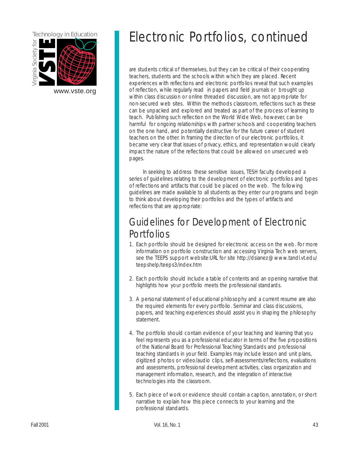

are students critical of themselves, but they can be critical of their cooperating teachers, students and the schools within which they are placed. Recent experiences with reflections and electronic portfolios reveal that such examples [www.vste.org](http://www.vste.org) of reflection, while regularly read in papers and field journals or brought up within class discussion or online threaded discussion, are not appropriate for non-secured web sites. Within the methods classroom, reflections such as these can be unpacked and explored and treated as part of the process of learning to teach. Publishing such reflection on the World Wide Web, however, can be harmful for ongoing relationships with partner schools and cooperating teachers on the one hand, and potentially destructive for the future career of student teachers on the other. In framing the direction of our electronic portfolios, it became very clear that issues of privacy, ethics, and representation would clearly impact the nature of the reflections that could be allowed on unsecured web pages.

> In seeking to address these sensitive issues, TESH faculty developed a series of guidelines relating to the development of electronic portfolios and types of reflections and artifacts that could be placed on the web. The following guidelines are made available to all students as they enter our programs and begin to think about developing their portfolios and the types of artifacts and reflections that are appropriate:

## Guidelines for Development of Electronic **Portfolios**

- 1. Each portfolio should be designed for electronic access on the web. For more information on portfolio construction and accessing Virginia Tech web servers, [see the TEEPS support website:URL for site http://dsianez@www.tandl.vt.edu/](http://dsianez@www.tandl.vt.edu/teepshelp/teeps3/index.htm)  teepshelp/teeps3/index.htm
- 2. Each portfolio should include a table of contents and an opening narrative that highlights how your portfolio meets the professional standards.
- 3. A personal statement of educational philosophy and a current resume are also the required elements for every portfolio. Seminar and class discussions, papers, and teaching experiences should assist you in shaping the philosophy statement.
- 4. The portfolio should contain evidence of your teaching and learning that you feel represents you as a professional educator in terms of the five propositions of the National Board for Professional Teaching Standards and professional teaching standards in your field. Examples may include lesson and unit plans, digitized photos or video/audio clips, self-assessments/reflections, evaluations and assessments, professional development activities, class organization and management information, research, and the integration of interactive technologies into the classroom.
- 5. Each piece of work or evidence should contain a caption, annotation, or short narrative to explain how this piece connects to your learning and the professional standards.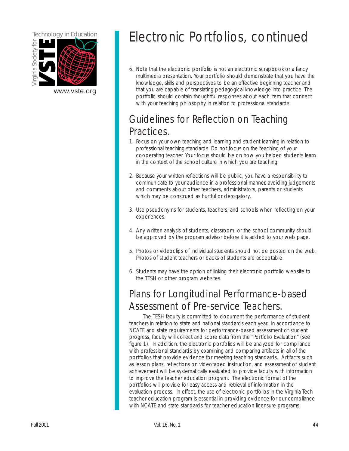

6. Note that the electronic portfolio is not an electronic scrapbook or a fancy multimedia presentation. Your portfolio should demonstrate that you have the knowledge, skills and perspectives to be an effective beginning teacher and [www.vste.org](http://www.vste.org) **that you are capable of translating pedagogical knowledge into practice.** The portfolio should contain thoughtful responses about each item that connect with your teaching philosophy in relation to professional standards.

## Guidelines for Reflection on Teaching Practices.

- 1. Focus on your own teaching and learning and student learning in relation to professional teaching standards. Do not focus on the teaching of your cooperating teacher. Your focus should be on how you helped students learn in the context of the school culture in which you are teaching.
- 2. Because your written reflections will be public, you have a responsibility to communicate to your audience in a professional manner, avoiding judgements and comments about other teachers, administrators, parents or students which may be construed as hurtful or derogatory.
- 3. Use pseudonyms for students, teachers, and schools when reflecting on your experiences.
- 4. Any written analysis of students, classroom, or the school community should be approved by the program advisor before it is added to your web page.
- 5. Photos or videoclips of individual students should not be posted on the web. Photos of student teachers or backs of students are acceptable.
- 6. Students may have the option of linking their electronic portfolio website to the TESH or other program websites.

## Plans for Longitudinal Performance-based Assessment of Pre-service Teachers.

The TESH faculty is committed to document the performance of student teachers in relation to state and national standards each year. In accordance to NCATE and state requirements for performance-based assessment of student progress, faculty will collect and score data from the "Portfolio Evaluation" (see figure 1). In addition, the electronic portfolios will be analyzed for compliance with professional standards by examining and comparing artifacts in all of the portfolios that provide evidence for meeting teaching standards. Artifacts such as lesson plans, reflections on videotaped instruction, and assessment of student achievement will be systematically evaluated to provide faculty with information to improve the teacher education program. The electronic format of the portfolios will provide for easy access and retrieval of information in the evaluation process. In effect, the use of electronic portfolios in the Virginia Tech teacher education program is essential in providing evidence for our compliance with NCATE and state standards for teacher education licensure programs.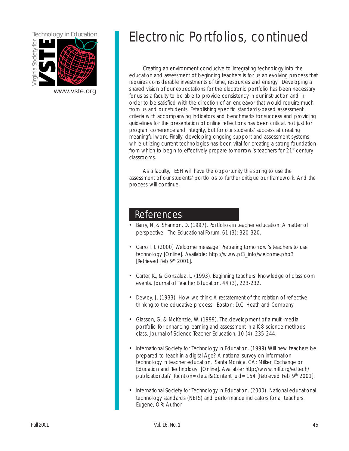

Creating an environment conducive to integrating technology into the education and assessment of beginning teachers is for us an evolving process that requires considerable investments of time, resources and energy. Developing a [www.vste.org](http://www.vste.org) shared vision of our expectations for the electronic portfolio has been necessary for us as a faculty to be able to provide consistency in our instruction and in order to be satisfied with the direction of an endeavor that would require much from us and our students. Establishing specific standards-based assessment criteria with accompanying indicators and benchmarks for success and providing guidelines for the presentation of online reflections has been critical, not just for program coherence and integrity, but for our students' success at creating meaningful work. Finally, developing ongoing support and assessment systems while utilizing current technologies has been vital for creating a strong foundation from which to begin to effectively prepare tomorrow's teachers for 21<sup>st</sup> century classrooms.

> As a faculty, TESH will have the opportunity this spring to use the assessment of our students' portfolios to further critique our framework. And the process will continue.

### References

- Barry, N. & Shannon, D. (1997). Portfolios in teacher education: A matter of perspective. The Educational Forum, 61 (3): 320-320.
- Carroll. T. (2000) Welcome message: Preparing tomorrow's teachers to use technology [Online]. Available: http://www.pt3\_info/welcome.php3 [Retrieved Feb 9<sup>th</sup> 2001].
- Carter, K., & Gonzalez, L. (1993). Beginning teachers' knowledge of classroom events. Journal of Teacher Education, 44 (3), 223-232.
- Dewey, J. (1933) How we think: A restatement of the relation of reflective thinking to the educative process. Boston: D.C. Heath and Company.
- Glasson, G. & McKenzie, W. (1999). The development of a multi-media portfolio for enhancing learning and assessment in a K-8 science methods class. Journal of Science Teacher Education, 10 (4), 235-244.
- International Society for Technology in Education. (1999) Will new teachers be prepared to teach in a digital Age? A national survey on information technology in teacher education. Santa Monica, CA: Milken Exchange on Education and Technology [Online]. Available: http://www.mff.org/edtech/ publication.taf?\_fucntion=detail&Content\_uid=154 [Retrieved Feb 9<sup>th</sup> 2001].
- International Society for Technology in Education. (2000). National educational technology standards (NETS) and performance indicators for all teachers. Eugene, OR: Author.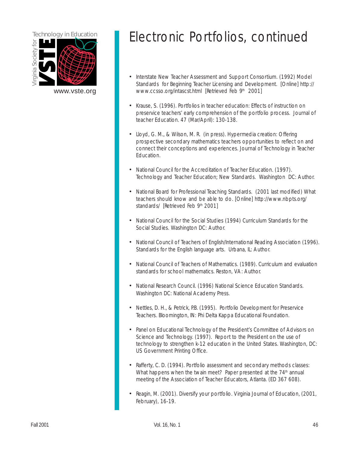

- Interstate New Teacher Assessment and Support Consortium. (1992) Model Standards for Beginning Teacher Licensing and Development. [Online] http:// [www.vste.org](http://www.vste.org) www.ccsso.org/intascst.html [Retrieved Feb 9<sup>th</sup> 2001]
	- Krause, S. (1996). Portfolios in teacher education: Effects of instruction on preservice teachers' early comprehension of the portfolio process. Journal of teacher Education. 47 (Mar/April): 130-138.
	- Lloyd, G. M., & Wilson, M. R. (in press). Hypermedia creation: Offering prospective secondary mathematics teachers opportunities to reflect on and connect their conceptions and experiences. Journal of Technology in Teacher **Education**
	- National Council for the Accreditation of Teacher Education. (1997). Technology and Teacher Education; New Standards. Washington DC: Author.
	- National Board for Professional Teaching Standards. (2001 last modified) What teachers should know and be able to do. [Online] http://www.nbpts.org/ standards/ [Retrieved Feb 9<sup>th</sup> 2001]
	- National Council for the Social Studies (1994) Curriculum Standards for the Social Studies. Washington DC: Author.
	- National Council of Teachers of English/International Reading Association (1996). Standards for the English language arts. Urbana, IL: Author.
	- National Council of Teachers of Mathematics. (1989). Curriculum and evaluation standards for school mathematics. Reston, VA: Author.
	- National Research Council. (1996) National Science Education Standards. Washington DC: National Academy Press.
	- Nettles, D. H., & Petrick, P.B. (1995). Portfolio Development for Preservice Teachers. Bloomington, IN: Phi Delta Kappa Educational Foundation.
	- Panel on Educational Technology of the President's Committee of Advisors on Science and Technology. (1997). Report to the President on the use of technology to strengthen k-12 education in the United States. Washington, DC: US Government Printing Office.
	- Rafferty, C. D. (1994). Portfolio assessment and secondary methods classes: What happens when the twain meet? Paper presented at the  $74<sup>th</sup>$  annual meeting of the Association of Teacher Educators, Atlanta. (ED 367 608).
	- Reagin, M. (2001). Diversify your portfolio. Virginia Journal of Education, (2001, February), 16-19.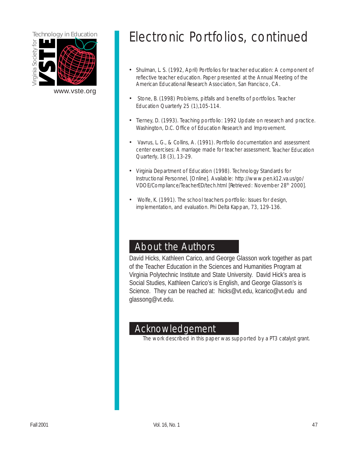

## Technology in Education **Electronic Portfolios**, continued

- Shulman, L. S. (1992, April) Portfolios for teacher education: A component of reflective teacher education. Paper presented at the Annual Meeting of the American Educational Research Association, San Francisco, CA.
- *•* Stone, B. (1998) Problems, pitfalls and benefits of portfolios. Teacher Education Quarterly 25 (1),105-114.
- Tierney, D. (1993). Teaching portfolio: 1992 Update on research and practice. Washington, D.C. Office of Education Research and Improvement.
- *•* Vavrus, L. G., & Collins, A. (1991). Portfolio documentation and assessment center exercises: A marriage made for teacher assessment. Teacher Education Quarterly, 18 (3), 13-29.
- Virginia Department of Education (1998). Technology Standards for Instructional Personnel, [Online]. Available: http://www.pen.k12.va.us/go/ VDOE/Compliance/TeacherED/tech.html [Retrieved: November 28<sup>th</sup> 2000].
- *•* Wolfe, K. (1991). The school teachers portfolio: Issues for design, implementation, and evaluation. Phi Delta Kappan, 73, 129-136.

### About the Authors

David Hicks, Kathleen Carico, and George Glasson work together as part of the Teacher Education in the Sciences and Humanities Program at Virginia Polytechnic Institute and State University. David Hick's area is Social Studies, Kathleen Carico's is English, and George Glasson's is Science. They can be reached at: hicks@vt.edu, kcarico@vt.edu and glassong@vt.edu.

### Acknowledgement

The work described in this paper was supported by a PT3 catalyst grant.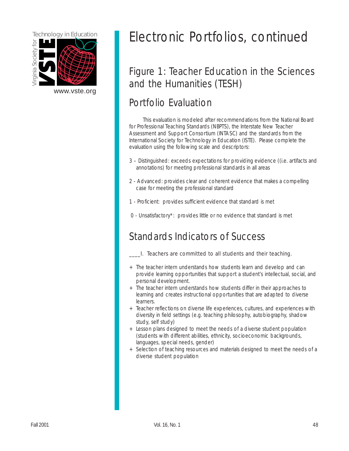

[www.vste.org](http://www.vste.org) 

## <span id="page-47-0"></span>Technology in Education **Execution Execution** Electronic Portfolios, continued

## Figure 1: Teacher Education in the Sciences and the Humanities (TESH)

## Portfolio Evaluation

This evaluation is modeled after recommendations from the National Board for Professional Teaching Standards (NBPTS), the Interstate New Teacher Assessment and Support Consortium (INTASC) and the standards from the International Society for Technology in Education (ISTE). Please complete the evaluation using the following scale and descriptors:

- 3 Distinguished: exceeds expectations for providing evidence ((i.e. artifacts and annotations) for meeting professional standards in all areas
- 2 Advanced: provides clear and coherent evidence that makes a compelling case for meeting the professional standard
- 1 Proficient: provides sufficient evidence that standard is met
- 0 Unsatisfactory\*: provides little or no evidence that standard is met

## Standards Indicators of Success

- \_\_\_\_I. Teachers are committed to all students and their teaching.
- + The teacher intern understands how students learn and develop and can provide learning opportunities that support a student's intellectual, social, and personal development.
- + The teacher intern understands how students differ in their approaches to learning and creates instructional opportunities that are adapted to diverse learners.
- + Teacher reflections on diverse life experiences, cultures, and experiences with diversity in field settings (e.g. teaching philosophy, autobiography, shadow study, self study)
- + Lesson plans designed to meet the needs of a diverse student population (students with different abilities, ethnicity, socioeconomic backgrounds, languages, special needs, gender)
- + Selection of teaching resources and materials designed to meet the needs of a diverse student population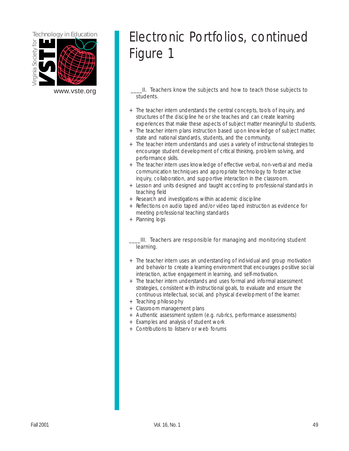

[www.vste.org](http://www.vste.org) **EXEC 20** 1. Teachers know the subjects and how to teach those subjects to students.

- + The teacher intern understands the central concepts, tools of inquiry, and structures of the discipline he or she teaches and can create learning experiences that make these aspects of subject matter meaningful to students.
- + The teacher intern plans instruction based upon knowledge of subject matter, state and national standards, students, and the community.
- + The teacher intern understands and uses a variety of instructional strategies to encourage student development of critical thinking, problem solving, and performance skills.
- + The teacher intern uses knowledge of effective verbal, non-verbal and media communication techniques and appropriate technology to foster active inquiry, collaboration, and supportive interaction in the classroom.
- + Lesson and units designed and taught according to professional standards in teaching field
- + Research and investigations within academic discipline
- + Reflections on audio taped and/or video taped instruction as evidence for meeting professional teaching standards
- + Planning logs

\_\_\_\_III. Teachers are responsible for managing and monitoring student learning.

- + The teacher intern uses an understanding of individual and group motivation and behavior to create a learning environment that encourages positive social interaction, active engagement in learning, and self-motivation.
- + The teacher intern understands and uses formal and informal assessment strategies, consistent with instructional goals, to evaluate and ensure the continuous intellectual, social, and physical development of the learner.
- + Teaching philosophy
- + Classroom management plans
- + Authentic assessment system (e.g. rubrics, performance assessments)
- + Examples and analysis of student work
- + Contributions to listserv or web forums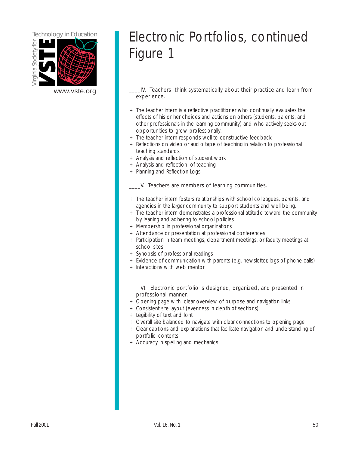

## Electronic Portfolios, continued Figure 1

[www.vste.org](http://www.vste.org) **Come Come Constructs** IV. Teachers think systematically about their practice and learn from experience.

- + The teacher intern is a reflective practitioner who continually evaluates the effects of his or her choices and actions on others (students, parents, and other professionals in the learning community) and who actively seeks out opportunities to grow professionally.
- + The teacher intern responds well to constructive feedback.
- + Reflections on video or audio tape of teaching in relation to professional teaching standards
- + Analysis and reflection of student work
- + Analysis and reflection of teaching
- + Planning and Reflection Logs

\_\_\_\_V. Teachers are members of learning communities.

- + The teacher intern fosters relationships with school colleagues, parents, and agencies in the larger community to support students and well being.
- + The teacher intern demonstrates a professional attitude toward the community by leaning and adhering to school policies
- + Membership in professional organizations
- + Attendance or presentation at professional conferences
- + Participation in team meetings, department meetings, or faculty meetings at school sites
- + Synopsis of professional readings
- + Evidence of communication with parents (e.g. newsletter, logs of phone calls)
- + Interactions with web mentor
- \_\_\_\_VI. Electronic portfolio is designed, organized, and presented in professional manner.
- + Opening page with clear overview of purpose and navigation links
- + Consistent site layout (evenness in depth of sections)
- + Legibility of text and font
- + Overall site balanced to navigate with clear connections to opening page
- + Clear captions and explanations that facilitate navigation and understanding of portfolio contents
- + Accuracy in spelling and mechanics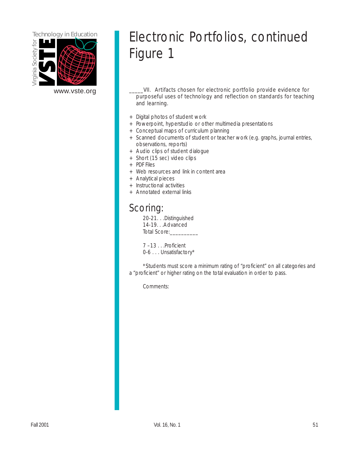

[www.vste.org](http://www.vste.org) \_\_\_\_\_VII. Artifacts chosen for electronic portfolio provide evidence for purposeful uses of technology and reflection on standards for teaching and learning.

- + Digital photos of student work
- + Powerpoint, hyperstudio or other multimedia presentations
- + Conceptual maps of curriculum planning
- + Scanned documents of student or teacher work (e.g. graphs, journal entries, observations, reports)
- + Audio clips of student dialogue
- + Short (15 sec) video clips
- + PDF Files
- + Web resources and link in content area
- + Analytical pieces
- + Instructional activities
- + Annotated external links

## Scoring:

20-21. . .Distinguished 14-19. . .Advanced Total Score:

7 –13 . . .Proficient 0-6 . . . Unsatisfactory\*

\*Students must score a minimum rating of "proficient" on all categories and a "proficient" or higher rating on the total evaluation in order to pass.

Comments: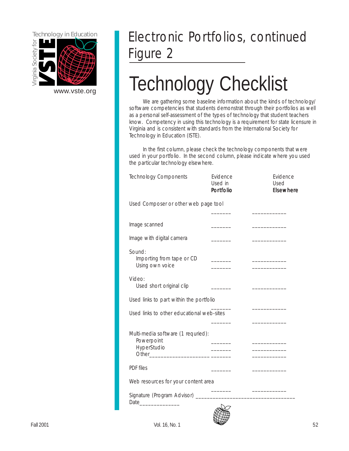<span id="page-51-0"></span>

## Electronic Portfolios, continued Figure 2

# WWW.vste.org **Technology Checklist**

We are gathering some baseline information about the kinds of technology/ software competencies that students demonstrat through their portfolios as well as a personal self-assessment of the types of technology that student teachers know. Competency in using this technology is a requirement for state licensure in Virginia and is consistent with standards from the International Society for Technology in Education (ISTE).

In the first column, please check the technology components that were used in your portfolio. In the second column, please indicate where you used the particular technology elsewhere.

| <b>Technology Components</b>                                    | Evidence<br>Used in<br><b>Portfolio</b> | Evidence<br>Used<br><b>Elsewhere</b> |
|-----------------------------------------------------------------|-----------------------------------------|--------------------------------------|
| Used Composer or other web page tool                            |                                         |                                      |
|                                                                 |                                         |                                      |
| Image scanned                                                   |                                         |                                      |
| Image with digital camera                                       |                                         |                                      |
| Sound:<br>Importing from tape or CD<br>Using own voice          | <b>Contract Contract</b>                |                                      |
| Video:<br>Used short original clip                              |                                         |                                      |
| Used links to part within the portfolio                         |                                         |                                      |
| Used links to other educational web-sites                       |                                         |                                      |
| Multi-media software (1 requried):<br>Powerpoint<br>HyperStudio |                                         | _________<br>_________               |
| <b>PDF</b> files                                                |                                         |                                      |
| Web resources for your content area                             |                                         |                                      |
|                                                                 |                                         |                                      |